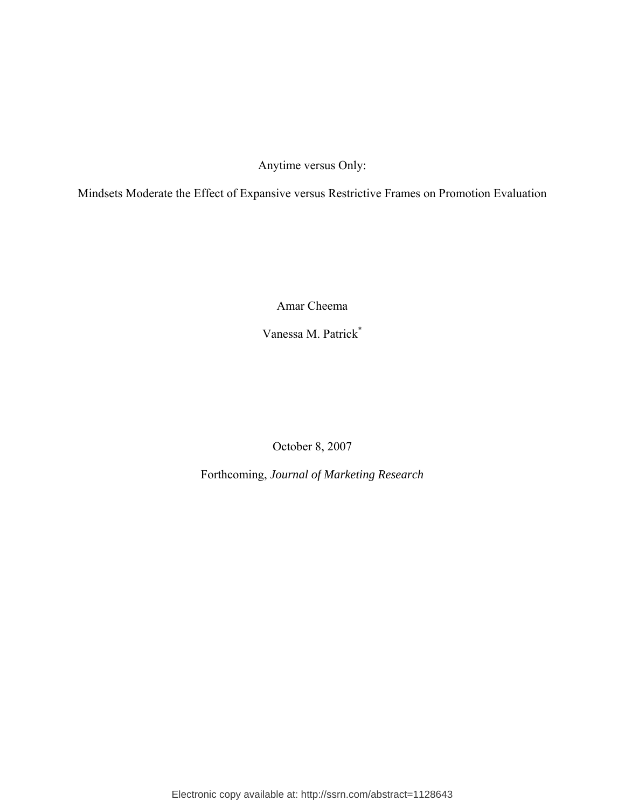Anytime versus Only:

Mindsets Moderate the Effect of Expansive versus Restrictive Frames on Promotion Evaluation

Amar Cheema

Vanessa M. Patrick\*

October 8, 2007

Forthcoming, *Journal of Marketing Research*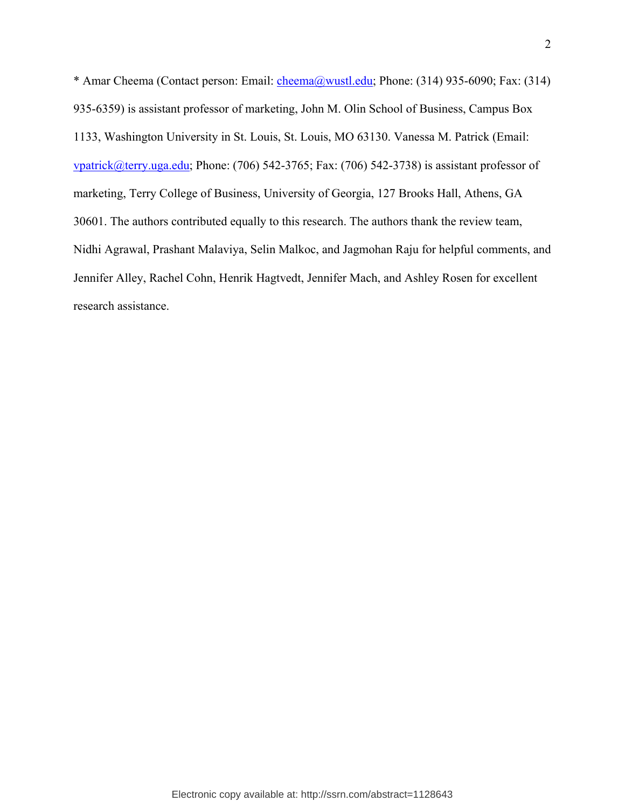\* Amar Cheema (Contact person: Email: cheema@wustl.edu; Phone: (314) 935-6090; Fax: (314) 935-6359) is assistant professor of marketing, John M. Olin School of Business, Campus Box 1133, Washington University in St. Louis, St. Louis, MO 63130. Vanessa M. Patrick (Email: vpatrick@terry.uga.edu; Phone: (706) 542-3765; Fax: (706) 542-3738) is assistant professor of marketing, Terry College of Business, University of Georgia, 127 Brooks Hall, Athens, GA 30601. The authors contributed equally to this research. The authors thank the review team, Nidhi Agrawal, Prashant Malaviya, Selin Malkoc, and Jagmohan Raju for helpful comments, and Jennifer Alley, Rachel Cohn, Henrik Hagtvedt, Jennifer Mach, and Ashley Rosen for excellent research assistance.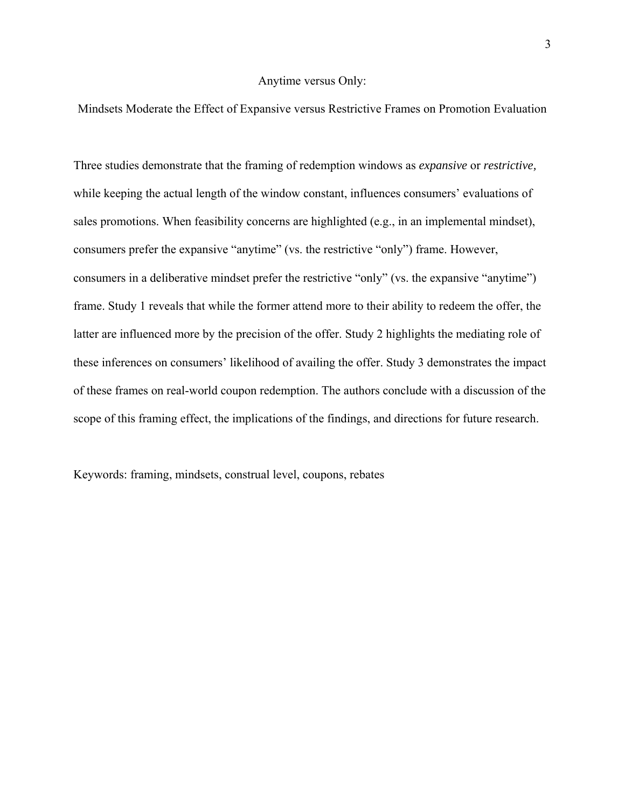#### Anytime versus Only:

Mindsets Moderate the Effect of Expansive versus Restrictive Frames on Promotion Evaluation

Three studies demonstrate that the framing of redemption windows as *expansive* or *restrictive,*  while keeping the actual length of the window constant, influences consumers' evaluations of sales promotions. When feasibility concerns are highlighted (e.g., in an implemental mindset), consumers prefer the expansive "anytime" (vs. the restrictive "only") frame. However, consumers in a deliberative mindset prefer the restrictive "only" (vs. the expansive "anytime") frame. Study 1 reveals that while the former attend more to their ability to redeem the offer, the latter are influenced more by the precision of the offer. Study 2 highlights the mediating role of these inferences on consumers' likelihood of availing the offer. Study 3 demonstrates the impact of these frames on real-world coupon redemption. The authors conclude with a discussion of the scope of this framing effect, the implications of the findings, and directions for future research.

Keywords: framing, mindsets, construal level, coupons, rebates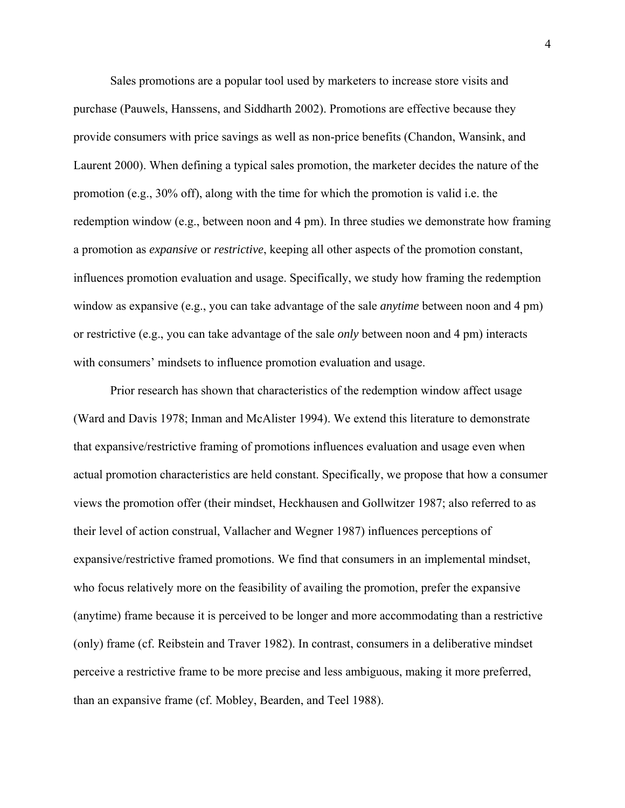Sales promotions are a popular tool used by marketers to increase store visits and purchase (Pauwels, Hanssens, and Siddharth 2002). Promotions are effective because they provide consumers with price savings as well as non-price benefits (Chandon, Wansink, and Laurent 2000). When defining a typical sales promotion, the marketer decides the nature of the promotion (e.g., 30% off), along with the time for which the promotion is valid i.e. the redemption window (e.g., between noon and 4 pm). In three studies we demonstrate how framing a promotion as *expansive* or *restrictive*, keeping all other aspects of the promotion constant, influences promotion evaluation and usage. Specifically, we study how framing the redemption window as expansive (e.g., you can take advantage of the sale *anytime* between noon and 4 pm) or restrictive (e.g., you can take advantage of the sale *only* between noon and 4 pm) interacts with consumers' mindsets to influence promotion evaluation and usage.

Prior research has shown that characteristics of the redemption window affect usage (Ward and Davis 1978; Inman and McAlister 1994). We extend this literature to demonstrate that expansive/restrictive framing of promotions influences evaluation and usage even when actual promotion characteristics are held constant. Specifically, we propose that how a consumer views the promotion offer (their mindset, Heckhausen and Gollwitzer 1987; also referred to as their level of action construal, Vallacher and Wegner 1987) influences perceptions of expansive/restrictive framed promotions. We find that consumers in an implemental mindset, who focus relatively more on the feasibility of availing the promotion, prefer the expansive (anytime) frame because it is perceived to be longer and more accommodating than a restrictive (only) frame (cf. Reibstein and Traver 1982). In contrast, consumers in a deliberative mindset perceive a restrictive frame to be more precise and less ambiguous, making it more preferred, than an expansive frame (cf. Mobley, Bearden, and Teel 1988).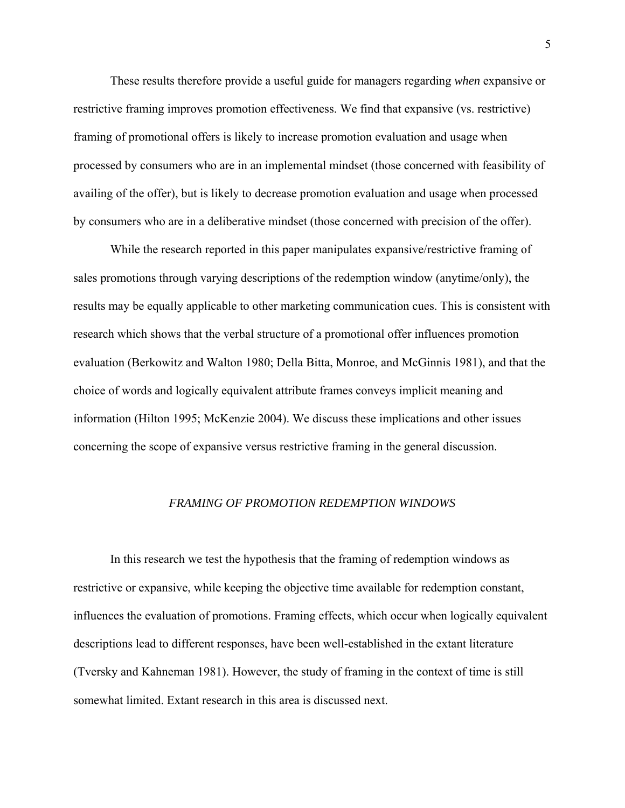These results therefore provide a useful guide for managers regarding *when* expansive or restrictive framing improves promotion effectiveness. We find that expansive (vs. restrictive) framing of promotional offers is likely to increase promotion evaluation and usage when processed by consumers who are in an implemental mindset (those concerned with feasibility of availing of the offer), but is likely to decrease promotion evaluation and usage when processed by consumers who are in a deliberative mindset (those concerned with precision of the offer).

While the research reported in this paper manipulates expansive/restrictive framing of sales promotions through varying descriptions of the redemption window (anytime/only), the results may be equally applicable to other marketing communication cues. This is consistent with research which shows that the verbal structure of a promotional offer influences promotion evaluation (Berkowitz and Walton 1980; Della Bitta, Monroe, and McGinnis 1981), and that the choice of words and logically equivalent attribute frames conveys implicit meaning and information (Hilton 1995; McKenzie 2004). We discuss these implications and other issues concerning the scope of expansive versus restrictive framing in the general discussion.

#### *FRAMING OF PROMOTION REDEMPTION WINDOWS*

In this research we test the hypothesis that the framing of redemption windows as restrictive or expansive, while keeping the objective time available for redemption constant, influences the evaluation of promotions. Framing effects, which occur when logically equivalent descriptions lead to different responses, have been well-established in the extant literature (Tversky and Kahneman 1981). However, the study of framing in the context of time is still somewhat limited. Extant research in this area is discussed next.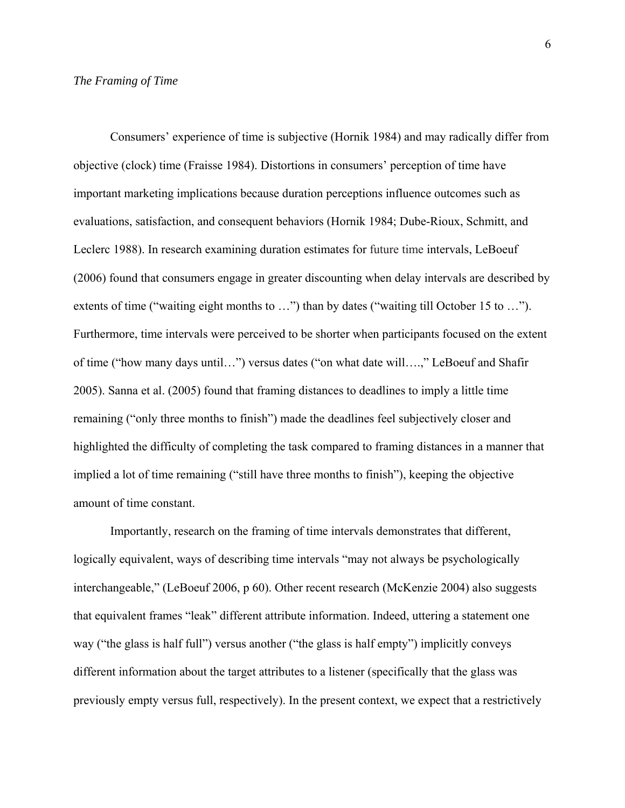#### *The Framing of Time*

 Consumers' experience of time is subjective (Hornik 1984) and may radically differ from objective (clock) time (Fraisse 1984). Distortions in consumers' perception of time have important marketing implications because duration perceptions influence outcomes such as evaluations, satisfaction, and consequent behaviors (Hornik 1984; Dube-Rioux, Schmitt, and Leclerc 1988). In research examining duration estimates for future time intervals, LeBoeuf (2006) found that consumers engage in greater discounting when delay intervals are described by extents of time ("waiting eight months to ...") than by dates ("waiting till October 15 to ..."). Furthermore, time intervals were perceived to be shorter when participants focused on the extent of time ("how many days until…") versus dates ("on what date will….," LeBoeuf and Shafir 2005). Sanna et al. (2005) found that framing distances to deadlines to imply a little time remaining ("only three months to finish") made the deadlines feel subjectively closer and highlighted the difficulty of completing the task compared to framing distances in a manner that implied a lot of time remaining ("still have three months to finish"), keeping the objective amount of time constant.

Importantly, research on the framing of time intervals demonstrates that different, logically equivalent, ways of describing time intervals "may not always be psychologically interchangeable," (LeBoeuf 2006, p 60). Other recent research (McKenzie 2004) also suggests that equivalent frames "leak" different attribute information. Indeed, uttering a statement one way ("the glass is half full") versus another ("the glass is half empty") implicitly conveys different information about the target attributes to a listener (specifically that the glass was previously empty versus full, respectively). In the present context, we expect that a restrictively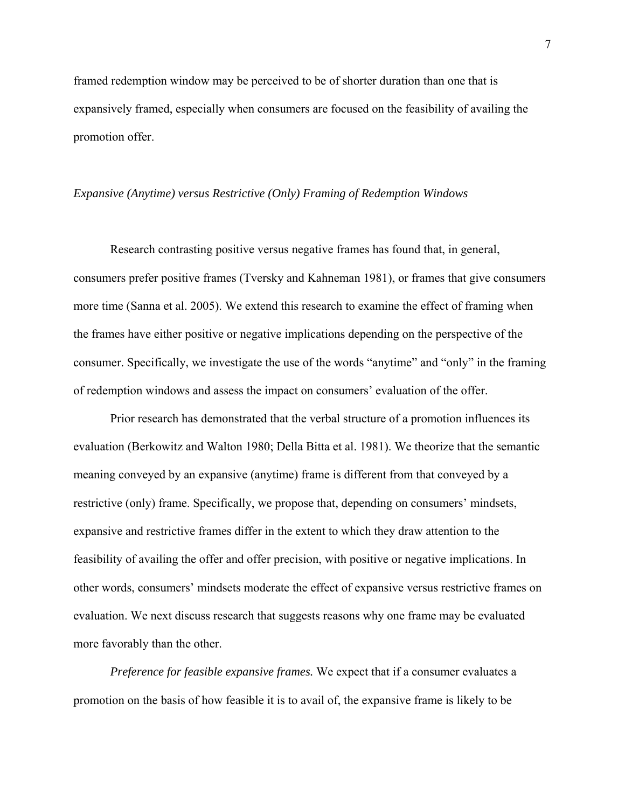framed redemption window may be perceived to be of shorter duration than one that is expansively framed, especially when consumers are focused on the feasibility of availing the promotion offer.

#### *Expansive (Anytime) versus Restrictive (Only) Framing of Redemption Windows*

 Research contrasting positive versus negative frames has found that, in general, consumers prefer positive frames (Tversky and Kahneman 1981), or frames that give consumers more time (Sanna et al. 2005). We extend this research to examine the effect of framing when the frames have either positive or negative implications depending on the perspective of the consumer. Specifically, we investigate the use of the words "anytime" and "only" in the framing of redemption windows and assess the impact on consumers' evaluation of the offer.

Prior research has demonstrated that the verbal structure of a promotion influences its evaluation (Berkowitz and Walton 1980; Della Bitta et al. 1981). We theorize that the semantic meaning conveyed by an expansive (anytime) frame is different from that conveyed by a restrictive (only) frame. Specifically, we propose that, depending on consumers' mindsets, expansive and restrictive frames differ in the extent to which they draw attention to the feasibility of availing the offer and offer precision, with positive or negative implications. In other words, consumers' mindsets moderate the effect of expansive versus restrictive frames on evaluation. We next discuss research that suggests reasons why one frame may be evaluated more favorably than the other.

*Preference for feasible expansive frames.* We expect that if a consumer evaluates a promotion on the basis of how feasible it is to avail of, the expansive frame is likely to be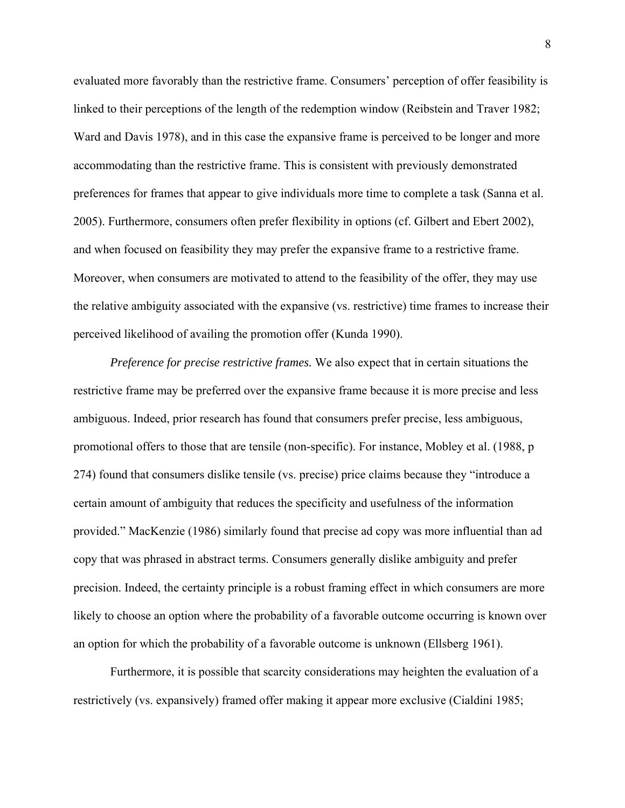evaluated more favorably than the restrictive frame. Consumers' perception of offer feasibility is linked to their perceptions of the length of the redemption window (Reibstein and Traver 1982; Ward and Davis 1978), and in this case the expansive frame is perceived to be longer and more accommodating than the restrictive frame. This is consistent with previously demonstrated preferences for frames that appear to give individuals more time to complete a task (Sanna et al. 2005). Furthermore, consumers often prefer flexibility in options (cf. Gilbert and Ebert 2002), and when focused on feasibility they may prefer the expansive frame to a restrictive frame. Moreover, when consumers are motivated to attend to the feasibility of the offer, they may use the relative ambiguity associated with the expansive (vs. restrictive) time frames to increase their perceived likelihood of availing the promotion offer (Kunda 1990).

*Preference for precise restrictive frames.* We also expect that in certain situations the restrictive frame may be preferred over the expansive frame because it is more precise and less ambiguous. Indeed, prior research has found that consumers prefer precise, less ambiguous, promotional offers to those that are tensile (non-specific). For instance, Mobley et al. (1988, p 274) found that consumers dislike tensile (vs. precise) price claims because they "introduce a certain amount of ambiguity that reduces the specificity and usefulness of the information provided." MacKenzie (1986) similarly found that precise ad copy was more influential than ad copy that was phrased in abstract terms. Consumers generally dislike ambiguity and prefer precision. Indeed, the certainty principle is a robust framing effect in which consumers are more likely to choose an option where the probability of a favorable outcome occurring is known over an option for which the probability of a favorable outcome is unknown (Ellsberg 1961).

Furthermore, it is possible that scarcity considerations may heighten the evaluation of a restrictively (vs. expansively) framed offer making it appear more exclusive (Cialdini 1985;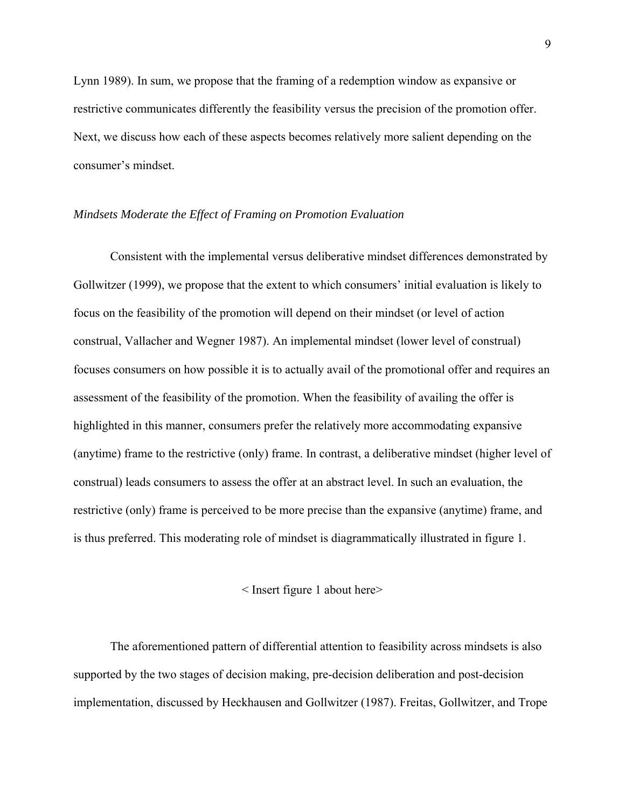Lynn 1989). In sum, we propose that the framing of a redemption window as expansive or restrictive communicates differently the feasibility versus the precision of the promotion offer. Next, we discuss how each of these aspects becomes relatively more salient depending on the consumer's mindset.

#### *Mindsets Moderate the Effect of Framing on Promotion Evaluation*

 Consistent with the implemental versus deliberative mindset differences demonstrated by Gollwitzer (1999), we propose that the extent to which consumers' initial evaluation is likely to focus on the feasibility of the promotion will depend on their mindset (or level of action construal, Vallacher and Wegner 1987). An implemental mindset (lower level of construal) focuses consumers on how possible it is to actually avail of the promotional offer and requires an assessment of the feasibility of the promotion. When the feasibility of availing the offer is highlighted in this manner, consumers prefer the relatively more accommodating expansive (anytime) frame to the restrictive (only) frame. In contrast, a deliberative mindset (higher level of construal) leads consumers to assess the offer at an abstract level. In such an evaluation, the restrictive (only) frame is perceived to be more precise than the expansive (anytime) frame, and is thus preferred. This moderating role of mindset is diagrammatically illustrated in figure 1.

#### < Insert figure 1 about here>

The aforementioned pattern of differential attention to feasibility across mindsets is also supported by the two stages of decision making, pre-decision deliberation and post-decision implementation, discussed by Heckhausen and Gollwitzer (1987). Freitas, Gollwitzer, and Trope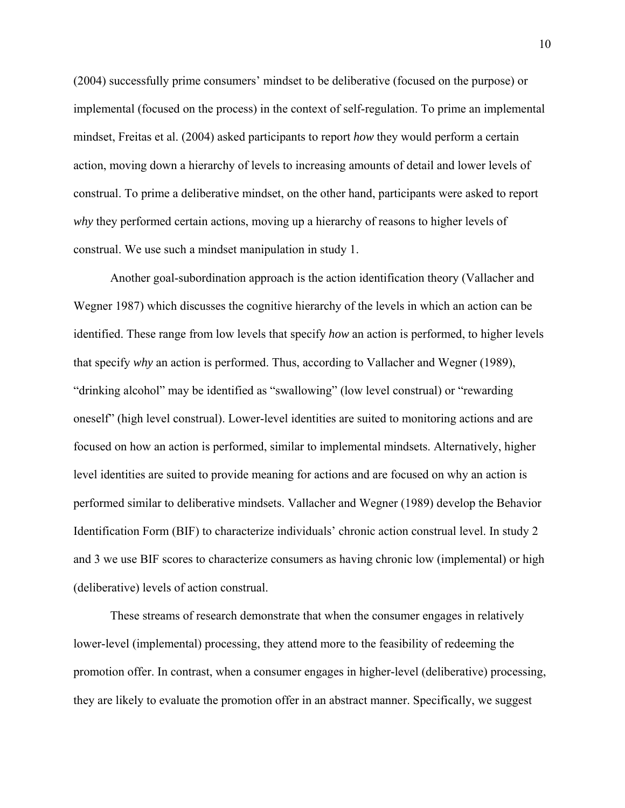(2004) successfully prime consumers' mindset to be deliberative (focused on the purpose) or implemental (focused on the process) in the context of self-regulation. To prime an implemental mindset, Freitas et al. (2004) asked participants to report *how* they would perform a certain action, moving down a hierarchy of levels to increasing amounts of detail and lower levels of construal. To prime a deliberative mindset, on the other hand, participants were asked to report *why* they performed certain actions, moving up a hierarchy of reasons to higher levels of construal. We use such a mindset manipulation in study 1.

 Another goal-subordination approach is the action identification theory (Vallacher and Wegner 1987) which discusses the cognitive hierarchy of the levels in which an action can be identified. These range from low levels that specify *how* an action is performed, to higher levels that specify *why* an action is performed. Thus, according to Vallacher and Wegner (1989), "drinking alcohol" may be identified as "swallowing" (low level construal) or "rewarding oneself" (high level construal). Lower-level identities are suited to monitoring actions and are focused on how an action is performed, similar to implemental mindsets. Alternatively, higher level identities are suited to provide meaning for actions and are focused on why an action is performed similar to deliberative mindsets. Vallacher and Wegner (1989) develop the Behavior Identification Form (BIF) to characterize individuals' chronic action construal level. In study 2 and 3 we use BIF scores to characterize consumers as having chronic low (implemental) or high (deliberative) levels of action construal.

These streams of research demonstrate that when the consumer engages in relatively lower-level (implemental) processing, they attend more to the feasibility of redeeming the promotion offer. In contrast, when a consumer engages in higher-level (deliberative) processing, they are likely to evaluate the promotion offer in an abstract manner. Specifically, we suggest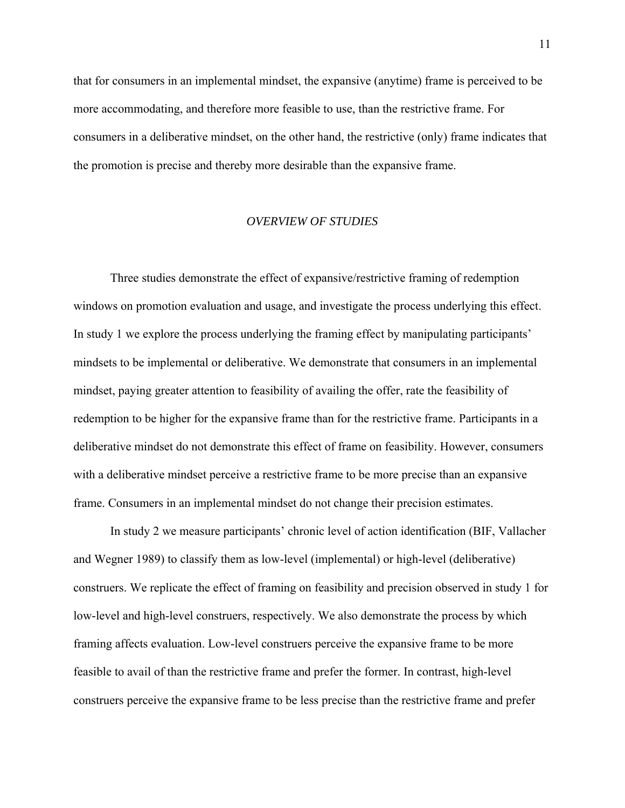that for consumers in an implemental mindset, the expansive (anytime) frame is perceived to be more accommodating, and therefore more feasible to use, than the restrictive frame. For consumers in a deliberative mindset, on the other hand, the restrictive (only) frame indicates that the promotion is precise and thereby more desirable than the expansive frame.

#### *OVERVIEW OF STUDIES*

Three studies demonstrate the effect of expansive/restrictive framing of redemption windows on promotion evaluation and usage, and investigate the process underlying this effect. In study 1 we explore the process underlying the framing effect by manipulating participants' mindsets to be implemental or deliberative. We demonstrate that consumers in an implemental mindset, paying greater attention to feasibility of availing the offer, rate the feasibility of redemption to be higher for the expansive frame than for the restrictive frame. Participants in a deliberative mindset do not demonstrate this effect of frame on feasibility. However, consumers with a deliberative mindset perceive a restrictive frame to be more precise than an expansive frame. Consumers in an implemental mindset do not change their precision estimates.

In study 2 we measure participants' chronic level of action identification (BIF, Vallacher and Wegner 1989) to classify them as low-level (implemental) or high-level (deliberative) construers. We replicate the effect of framing on feasibility and precision observed in study 1 for low-level and high-level construers, respectively. We also demonstrate the process by which framing affects evaluation. Low-level construers perceive the expansive frame to be more feasible to avail of than the restrictive frame and prefer the former. In contrast, high-level construers perceive the expansive frame to be less precise than the restrictive frame and prefer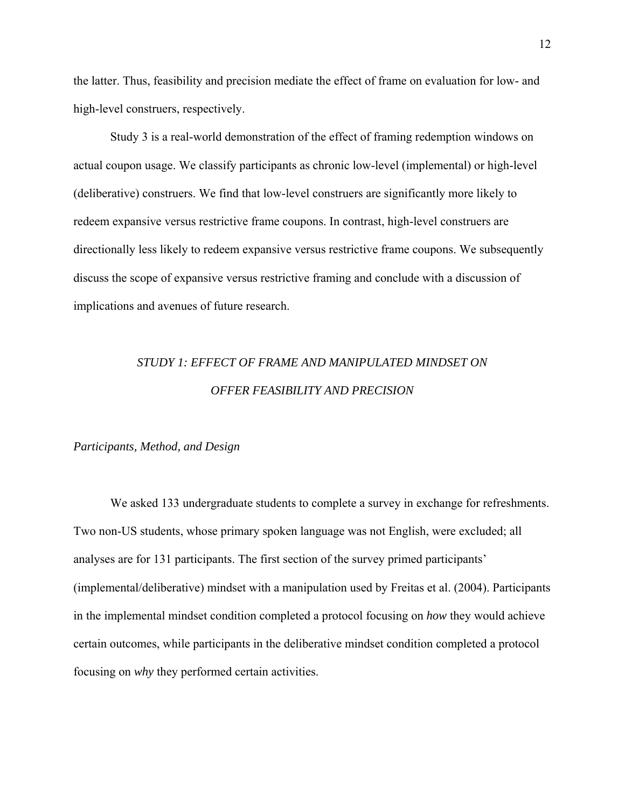the latter. Thus, feasibility and precision mediate the effect of frame on evaluation for low- and high-level construers, respectively.

Study 3 is a real-world demonstration of the effect of framing redemption windows on actual coupon usage. We classify participants as chronic low-level (implemental) or high-level (deliberative) construers. We find that low-level construers are significantly more likely to redeem expansive versus restrictive frame coupons. In contrast, high-level construers are directionally less likely to redeem expansive versus restrictive frame coupons. We subsequently discuss the scope of expansive versus restrictive framing and conclude with a discussion of implications and avenues of future research.

# *STUDY 1: EFFECT OF FRAME AND MANIPULATED MINDSET ON OFFER FEASIBILITY AND PRECISION*

#### *Participants, Method, and Design*

We asked 133 undergraduate students to complete a survey in exchange for refreshments. Two non-US students, whose primary spoken language was not English, were excluded; all analyses are for 131 participants. The first section of the survey primed participants' (implemental/deliberative) mindset with a manipulation used by Freitas et al. (2004). Participants in the implemental mindset condition completed a protocol focusing on *how* they would achieve certain outcomes, while participants in the deliberative mindset condition completed a protocol focusing on *why* they performed certain activities.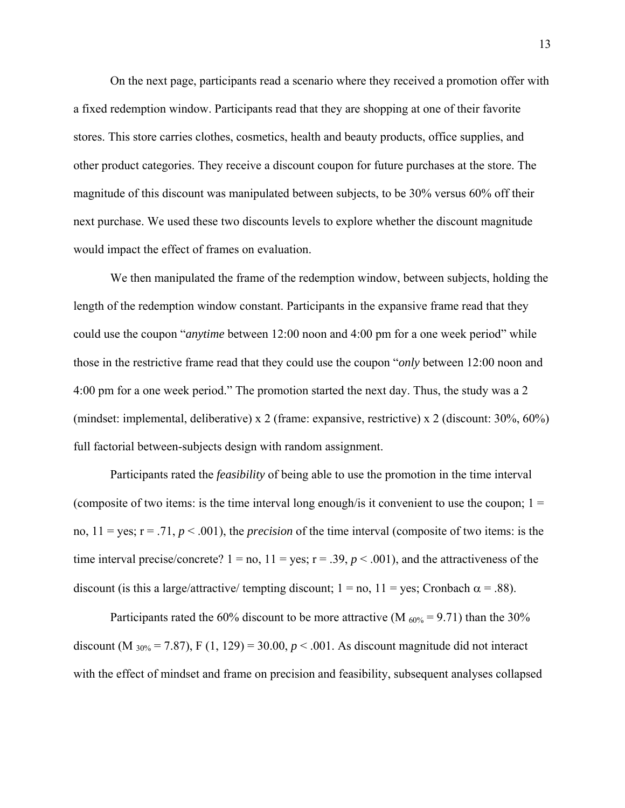On the next page, participants read a scenario where they received a promotion offer with a fixed redemption window. Participants read that they are shopping at one of their favorite stores. This store carries clothes, cosmetics, health and beauty products, office supplies, and other product categories. They receive a discount coupon for future purchases at the store. The magnitude of this discount was manipulated between subjects, to be 30% versus 60% off their next purchase. We used these two discounts levels to explore whether the discount magnitude would impact the effect of frames on evaluation.

We then manipulated the frame of the redemption window, between subjects, holding the length of the redemption window constant. Participants in the expansive frame read that they could use the coupon "*anytime* between 12:00 noon and 4:00 pm for a one week period" while those in the restrictive frame read that they could use the coupon "*only* between 12:00 noon and 4:00 pm for a one week period." The promotion started the next day. Thus, the study was a 2 (mindset: implemental, deliberative) x 2 (frame: expansive, restrictive) x 2 (discount: 30%, 60%) full factorial between-subjects design with random assignment.

Participants rated the *feasibility* of being able to use the promotion in the time interval (composite of two items: is the time interval long enough/is it convenient to use the coupon;  $1 =$ no,  $11 = \text{yes}; r = .71, p < .001$ ), the *precision* of the time interval (composite of two items: is the time interval precise/concrete?  $1 = no$ ,  $11 = yes$ ;  $r = .39$ ,  $p < .001$ ), and the attractiveness of the discount (is this a large/attractive/ tempting discount;  $1 =$  no,  $11 =$  yes; Cronbach  $\alpha = .88$ ).

Participants rated the 60% discount to be more attractive (M  $_{60\%}$  = 9.71) than the 30% discount (M  $_{30\%}$  = 7.87), F (1, 129) = 30.00,  $p < .001$ . As discount magnitude did not interact with the effect of mindset and frame on precision and feasibility, subsequent analyses collapsed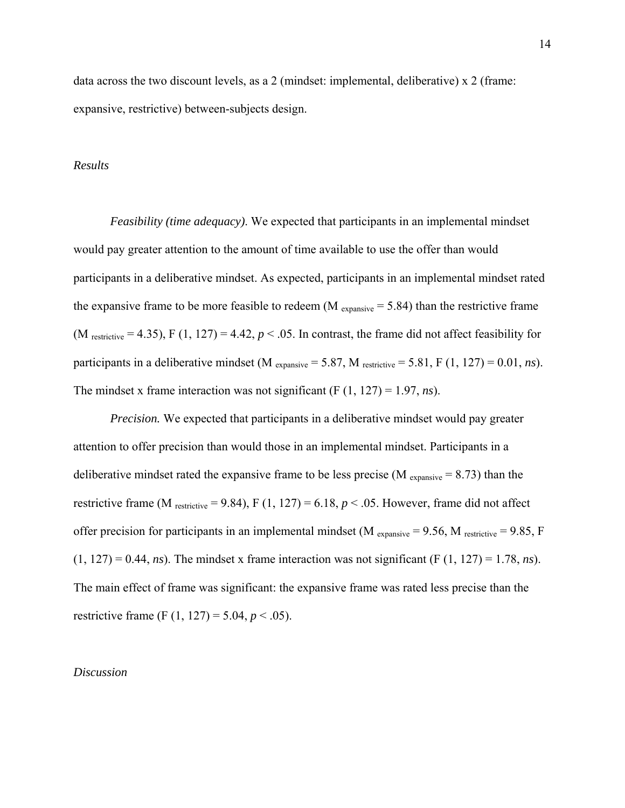data across the two discount levels, as a 2 (mindset: implemental, deliberative) x 2 (frame: expansive, restrictive) between-subjects design.

#### *Results*

*Feasibility (time adequacy)*. We expected that participants in an implemental mindset would pay greater attention to the amount of time available to use the offer than would participants in a deliberative mindset. As expected, participants in an implemental mindset rated the expansive frame to be more feasible to redeem (M  $_{expansive}$  = 5.84) than the restrictive frame (M restrictive = 4.35), F (1, 127) = 4.42,  $p < .05$ . In contrast, the frame did not affect feasibility for participants in a deliberative mindset (M  $_{expansive} = 5.87$ , M  $_{restrictive} = 5.81$ , F (1, 127) = 0.01, *ns*). The mindset x frame interaction was not significant (F (1, 127) = 1.97, *ns*).

*Precision.* We expected that participants in a deliberative mindset would pay greater attention to offer precision than would those in an implemental mindset. Participants in a deliberative mindset rated the expansive frame to be less precise ( $M_{expansive} = 8.73$ ) than the restrictive frame (M  $_{\text{restrictive}}$  = 9.84), F (1, 127) = 6.18,  $p < .05$ . However, frame did not affect offer precision for participants in an implemental mindset (M  $_{expansive}$  = 9.56, M  $_{restrictive}$  = 9.85, F  $(1, 127) = 0.44$ , *ns*). The mindset x frame interaction was not significant (F  $(1, 127) = 1.78$ , *ns*). The main effect of frame was significant: the expansive frame was rated less precise than the restrictive frame (F  $(1, 127) = 5.04, p < .05$ ).

#### *Discussion*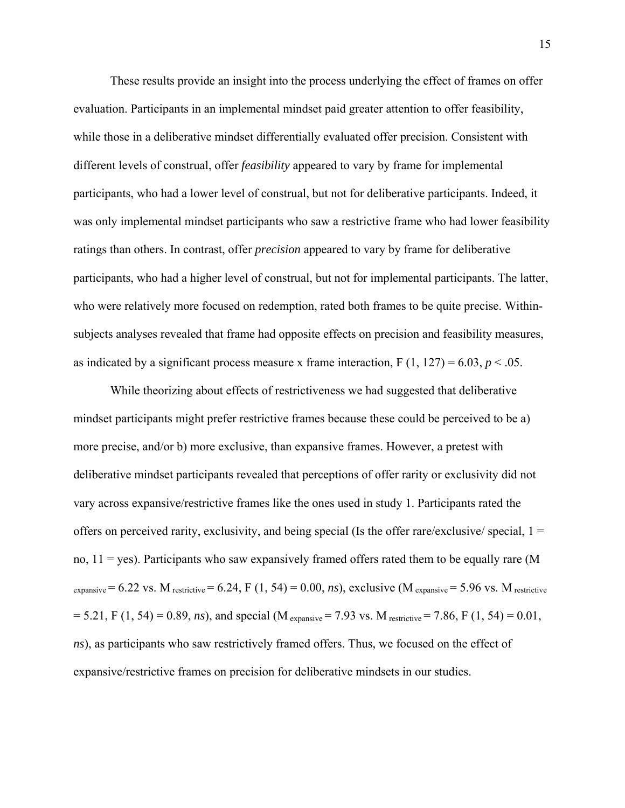These results provide an insight into the process underlying the effect of frames on offer evaluation. Participants in an implemental mindset paid greater attention to offer feasibility, while those in a deliberative mindset differentially evaluated offer precision. Consistent with different levels of construal, offer *feasibility* appeared to vary by frame for implemental participants, who had a lower level of construal, but not for deliberative participants. Indeed, it was only implemental mindset participants who saw a restrictive frame who had lower feasibility ratings than others. In contrast, offer *precision* appeared to vary by frame for deliberative participants, who had a higher level of construal, but not for implemental participants. The latter, who were relatively more focused on redemption, rated both frames to be quite precise. Withinsubjects analyses revealed that frame had opposite effects on precision and feasibility measures, as indicated by a significant process measure x frame interaction,  $F(1, 127) = 6.03$ ,  $p < .05$ .

While theorizing about effects of restrictiveness we had suggested that deliberative mindset participants might prefer restrictive frames because these could be perceived to be a) more precise, and/or b) more exclusive, than expansive frames. However, a pretest with deliberative mindset participants revealed that perceptions of offer rarity or exclusivity did not vary across expansive/restrictive frames like the ones used in study 1. Participants rated the offers on perceived rarity, exclusivity, and being special (Is the offer rare/exclusive/ special,  $1 =$ no,  $11 = yes$ ). Participants who saw expansively framed offers rated them to be equally rare (M  $_{\text{expansive}}$  = 6.22 vs. M restrictive = 6.24, F (1, 54) = 0.00, *ns*), exclusive (M <sub>expansive</sub> = 5.96 vs. M restrictive  $= 5.21$ , F (1, 54) = 0.89, *ns*), and special (M <sub>expansive</sub> = 7.93 vs. M <sub>restrictive</sub> = 7.86, F (1, 54) = 0.01, *ns*), as participants who saw restrictively framed offers. Thus, we focused on the effect of expansive/restrictive frames on precision for deliberative mindsets in our studies.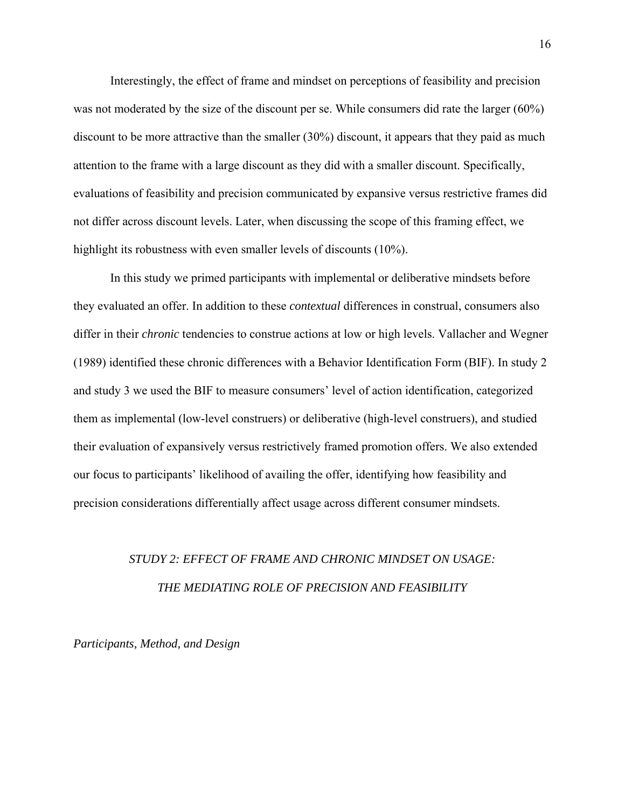Interestingly, the effect of frame and mindset on perceptions of feasibility and precision was not moderated by the size of the discount per se. While consumers did rate the larger (60%) discount to be more attractive than the smaller (30%) discount, it appears that they paid as much attention to the frame with a large discount as they did with a smaller discount. Specifically, evaluations of feasibility and precision communicated by expansive versus restrictive frames did not differ across discount levels. Later, when discussing the scope of this framing effect, we highlight its robustness with even smaller levels of discounts (10%).

In this study we primed participants with implemental or deliberative mindsets before they evaluated an offer. In addition to these *contextual* differences in construal, consumers also differ in their *chronic* tendencies to construe actions at low or high levels. Vallacher and Wegner (1989) identified these chronic differences with a Behavior Identification Form (BIF). In study 2 and study 3 we used the BIF to measure consumers' level of action identification, categorized them as implemental (low-level construers) or deliberative (high-level construers), and studied their evaluation of expansively versus restrictively framed promotion offers. We also extended our focus to participants' likelihood of availing the offer, identifying how feasibility and precision considerations differentially affect usage across different consumer mindsets.

# *STUDY 2: EFFECT OF FRAME AND CHRONIC MINDSET ON USAGE: THE MEDIATING ROLE OF PRECISION AND FEASIBILITY*

*Participants, Method, and Design*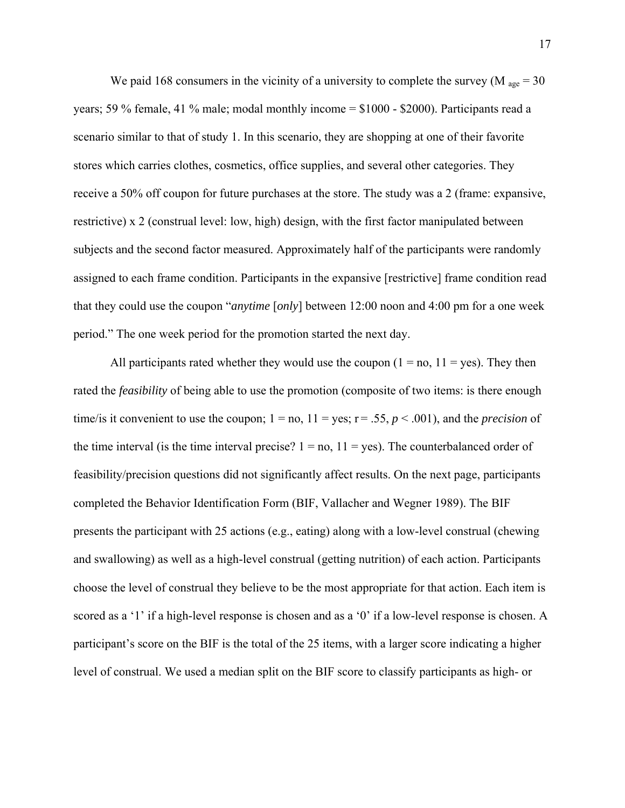We paid 168 consumers in the vicinity of a university to complete the survey (M  $_{\text{age}} = 30$ ) years; 59 % female, 41 % male; modal monthly income = \$1000 - \$2000). Participants read a scenario similar to that of study 1. In this scenario, they are shopping at one of their favorite stores which carries clothes, cosmetics, office supplies, and several other categories. They receive a 50% off coupon for future purchases at the store. The study was a 2 (frame: expansive, restrictive) x 2 (construal level: low, high) design, with the first factor manipulated between subjects and the second factor measured. Approximately half of the participants were randomly assigned to each frame condition. Participants in the expansive [restrictive] frame condition read that they could use the coupon "*anytime* [*only*] between 12:00 noon and 4:00 pm for a one week period." The one week period for the promotion started the next day.

All participants rated whether they would use the coupon  $(1 = no, 11 = yes)$ . They then rated the *feasibility* of being able to use the promotion (composite of two items: is there enough time/is it convenient to use the coupon;  $1 = no$ ,  $11 = yes$ ;  $r = .55$ ,  $p < .001$ ), and the *precision* of the time interval (is the time interval precise?  $1 = no$ ,  $11 = yes$ ). The counterbalanced order of feasibility/precision questions did not significantly affect results. On the next page, participants completed the Behavior Identification Form (BIF, Vallacher and Wegner 1989). The BIF presents the participant with 25 actions (e.g., eating) along with a low-level construal (chewing and swallowing) as well as a high-level construal (getting nutrition) of each action. Participants choose the level of construal they believe to be the most appropriate for that action. Each item is scored as a '1' if a high-level response is chosen and as a '0' if a low-level response is chosen. A participant's score on the BIF is the total of the 25 items, with a larger score indicating a higher level of construal. We used a median split on the BIF score to classify participants as high- or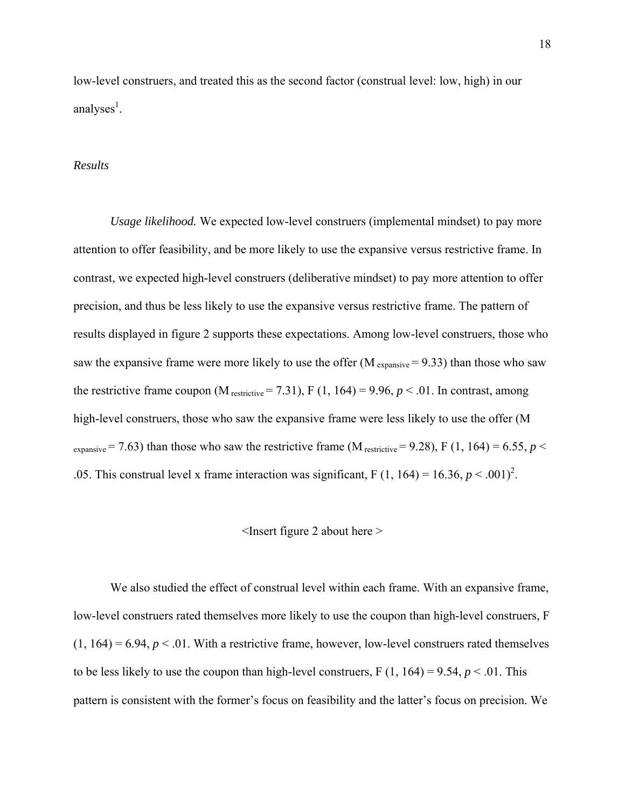low-level construers, and treated this as the second factor (construal level: low, high) in our analyses<sup>1</sup>.

#### *Results*

*Usage likelihood.* We expected low-level construers (implemental mindset) to pay more attention to offer feasibility, and be more likely to use the expansive versus restrictive frame. In contrast, we expected high-level construers (deliberative mindset) to pay more attention to offer precision, and thus be less likely to use the expansive versus restrictive frame. The pattern of results displayed in figure 2 supports these expectations. Among low-level construers, those who saw the expansive frame were more likely to use the offer  $(M_{\text{expansive}} = 9.33)$  than those who saw the restrictive frame coupon (M  $_{\text{restrictive}}$  = 7.31), F (1, 164) = 9.96,  $p < .01$ . In contrast, among high-level construers, those who saw the expansive frame were less likely to use the offer (M  $_{\text{expansive}}$  = 7.63) than those who saw the restrictive frame (M  $_{\text{restrictive}}$  = 9.28), F (1, 164) = 6.55, *p* < .05. This construal level x frame interaction was significant, F  $(1, 164) = 16.36, p < .001)^2$ .

#### <Insert figure 2 about here >

We also studied the effect of construal level within each frame. With an expansive frame, low-level construers rated themselves more likely to use the coupon than high-level construers, F  $(1, 164) = 6.94$ ,  $p < 0.01$ . With a restrictive frame, however, low-level construers rated themselves to be less likely to use the coupon than high-level construers,  $F(1, 164) = 9.54$ ,  $p < .01$ . This pattern is consistent with the former's focus on feasibility and the latter's focus on precision. We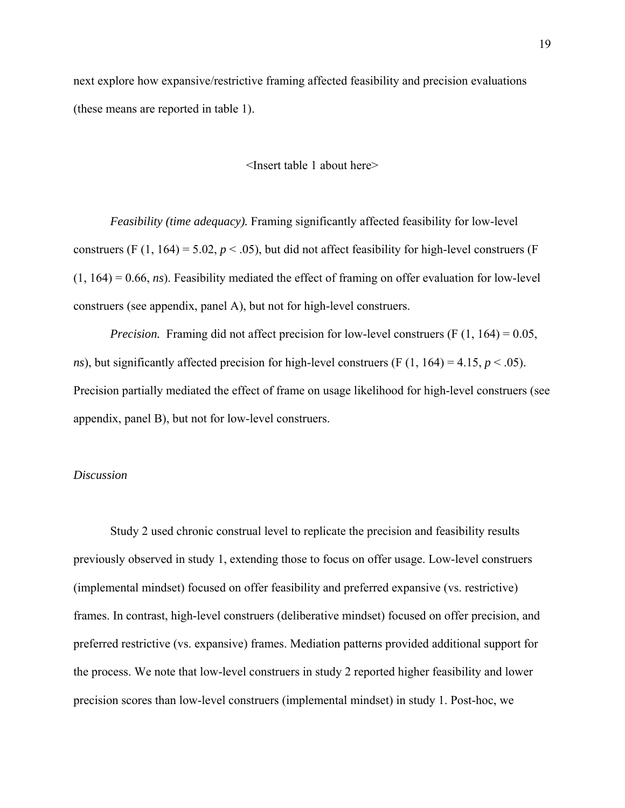next explore how expansive/restrictive framing affected feasibility and precision evaluations (these means are reported in table 1).

<Insert table 1 about here>

*Feasibility (time adequacy).* Framing significantly affected feasibility for low-level construers (F  $(1, 164) = 5.02$ ,  $p < .05$ ), but did not affect feasibility for high-level construers (F (1, 164) = 0.66, *ns*). Feasibility mediated the effect of framing on offer evaluation for low-level construers (see appendix, panel A), but not for high-level construers.

*Precision.* Framing did not affect precision for low-level construers (F (1, 164) = 0.05, *ns*), but significantly affected precision for high-level construers (F  $(1, 164) = 4.15$ ,  $p < .05$ ). Precision partially mediated the effect of frame on usage likelihood for high-level construers (see appendix, panel B), but not for low-level construers.

#### *Discussion*

Study 2 used chronic construal level to replicate the precision and feasibility results previously observed in study 1, extending those to focus on offer usage. Low-level construers (implemental mindset) focused on offer feasibility and preferred expansive (vs. restrictive) frames. In contrast, high-level construers (deliberative mindset) focused on offer precision, and preferred restrictive (vs. expansive) frames. Mediation patterns provided additional support for the process. We note that low-level construers in study 2 reported higher feasibility and lower precision scores than low-level construers (implemental mindset) in study 1. Post-hoc, we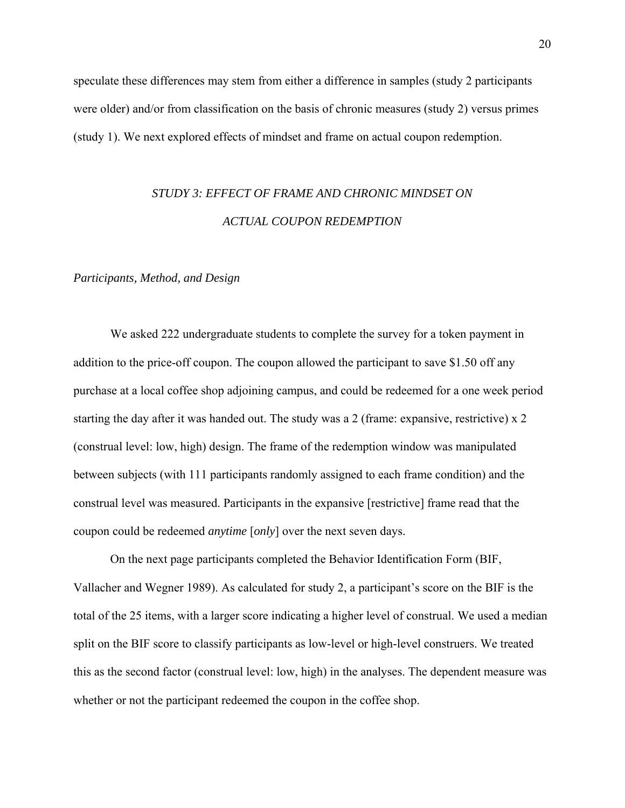speculate these differences may stem from either a difference in samples (study 2 participants were older) and/or from classification on the basis of chronic measures (study 2) versus primes (study 1). We next explored effects of mindset and frame on actual coupon redemption.

# *STUDY 3: EFFECT OF FRAME AND CHRONIC MINDSET ON ACTUAL COUPON REDEMPTION*

#### *Participants, Method, and Design*

We asked 222 undergraduate students to complete the survey for a token payment in addition to the price-off coupon. The coupon allowed the participant to save \$1.50 off any purchase at a local coffee shop adjoining campus, and could be redeemed for a one week period starting the day after it was handed out. The study was a 2 (frame: expansive, restrictive) x 2 (construal level: low, high) design. The frame of the redemption window was manipulated between subjects (with 111 participants randomly assigned to each frame condition) and the construal level was measured. Participants in the expansive [restrictive] frame read that the coupon could be redeemed *anytime* [*only*] over the next seven days.

On the next page participants completed the Behavior Identification Form (BIF, Vallacher and Wegner 1989). As calculated for study 2, a participant's score on the BIF is the total of the 25 items, with a larger score indicating a higher level of construal. We used a median split on the BIF score to classify participants as low-level or high-level construers. We treated this as the second factor (construal level: low, high) in the analyses. The dependent measure was whether or not the participant redeemed the coupon in the coffee shop.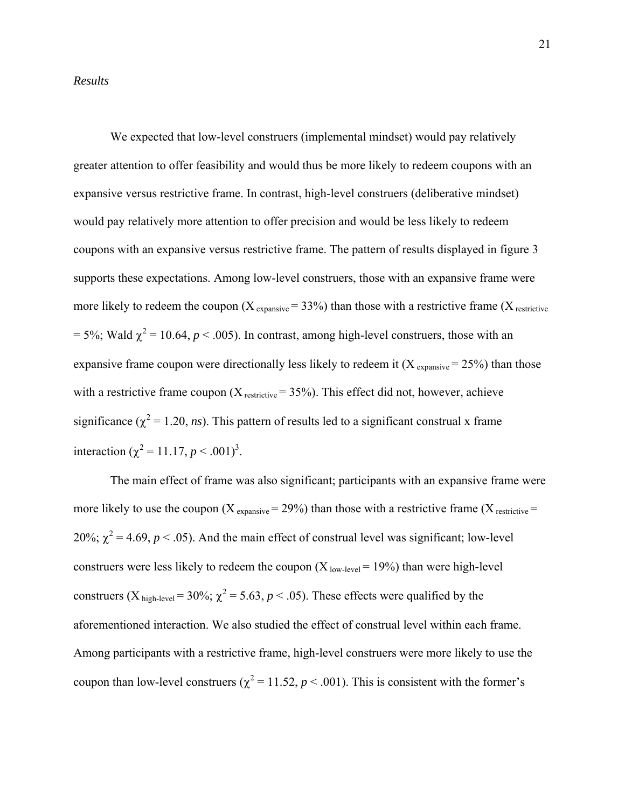#### *Results*

 We expected that low-level construers (implemental mindset) would pay relatively greater attention to offer feasibility and would thus be more likely to redeem coupons with an expansive versus restrictive frame. In contrast, high-level construers (deliberative mindset) would pay relatively more attention to offer precision and would be less likely to redeem coupons with an expansive versus restrictive frame. The pattern of results displayed in figure 3 supports these expectations. Among low-level construers, those with an expansive frame were more likely to redeem the coupon  $(X_{expansive} = 33%)$  than those with a restrictive frame  $(X_{refricitive})$  $= 5\%$ ; Wald  $\chi^2 = 10.64$ ,  $p < .005$ ). In contrast, among high-level construers, those with an expansive frame coupon were directionally less likely to redeem it  $(X_{expansive} = 25%)$  than those with a restrictive frame coupon  $(X_{\text{restrictive}} = 35\%)$ . This effect did not, however, achieve significance ( $\chi^2$  = 1.20, *ns*). This pattern of results led to a significant construal x frame interaction ( $\chi^2$  = 11.17, *p* < .001)<sup>3</sup>.

The main effect of frame was also significant; participants with an expansive frame were more likely to use the coupon  $(X_{\text{expansive}} = 29\%)$  than those with a restrictive frame  $(X_{\text{restrictive}} =$ 20%;  $\chi^2$  = 4.69, *p* < .05). And the main effect of construal level was significant; low-level construers were less likely to redeem the coupon  $(X_{\text{low-level}} = 19\%)$  than were high-level construers (X<sub>high-level</sub> = 30%;  $\chi^2$  = 5.63, *p* < .05). These effects were qualified by the aforementioned interaction. We also studied the effect of construal level within each frame. Among participants with a restrictive frame, high-level construers were more likely to use the coupon than low-level construers ( $\chi^2$  = 11.52, *p* < .001). This is consistent with the former's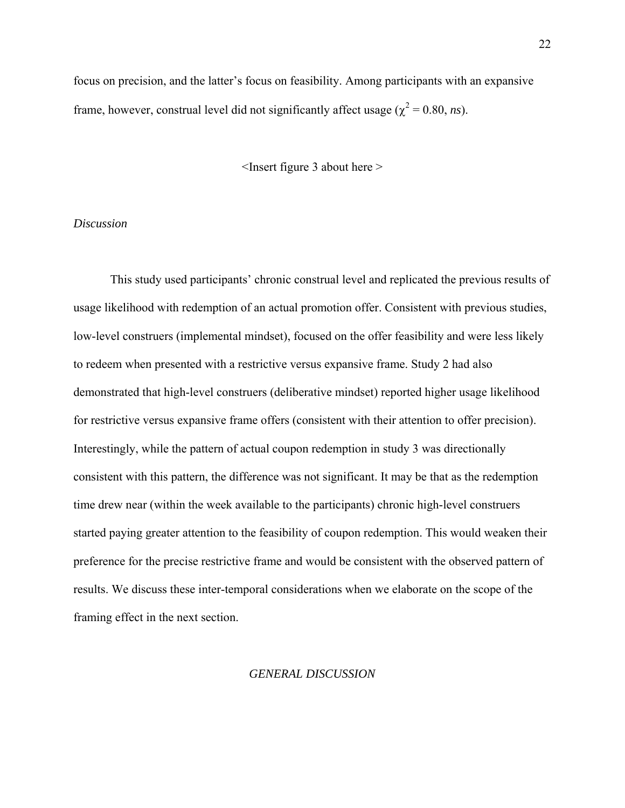focus on precision, and the latter's focus on feasibility. Among participants with an expansive frame, however, construal level did not significantly affect usage ( $\chi^2 = 0.80$ , *ns*).

<Insert figure 3 about here >

#### *Discussion*

This study used participants' chronic construal level and replicated the previous results of usage likelihood with redemption of an actual promotion offer. Consistent with previous studies, low-level construers (implemental mindset), focused on the offer feasibility and were less likely to redeem when presented with a restrictive versus expansive frame. Study 2 had also demonstrated that high-level construers (deliberative mindset) reported higher usage likelihood for restrictive versus expansive frame offers (consistent with their attention to offer precision). Interestingly, while the pattern of actual coupon redemption in study 3 was directionally consistent with this pattern, the difference was not significant. It may be that as the redemption time drew near (within the week available to the participants) chronic high-level construers started paying greater attention to the feasibility of coupon redemption. This would weaken their preference for the precise restrictive frame and would be consistent with the observed pattern of results. We discuss these inter-temporal considerations when we elaborate on the scope of the framing effect in the next section.

#### *GENERAL DISCUSSION*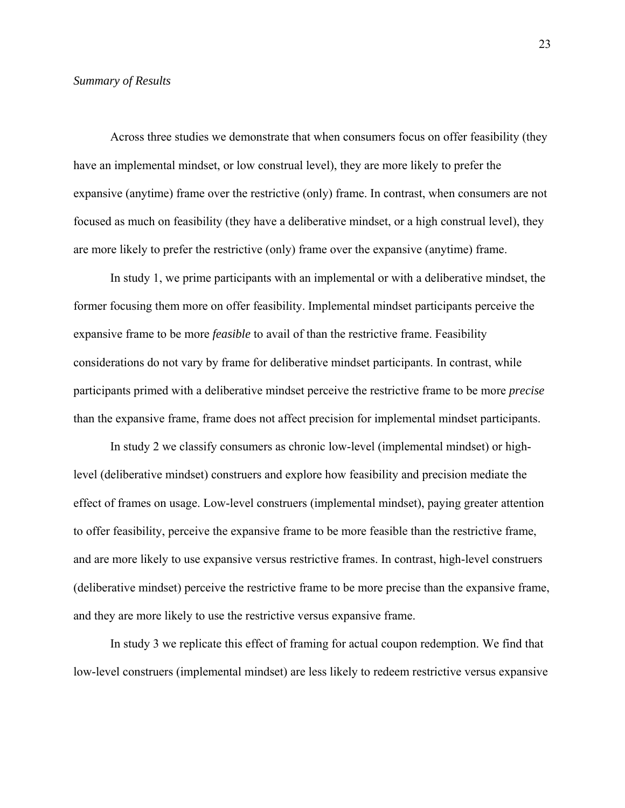#### *Summary of Results*

Across three studies we demonstrate that when consumers focus on offer feasibility (they have an implemental mindset, or low construal level), they are more likely to prefer the expansive (anytime) frame over the restrictive (only) frame. In contrast, when consumers are not focused as much on feasibility (they have a deliberative mindset, or a high construal level), they are more likely to prefer the restrictive (only) frame over the expansive (anytime) frame.

In study 1, we prime participants with an implemental or with a deliberative mindset, the former focusing them more on offer feasibility. Implemental mindset participants perceive the expansive frame to be more *feasible* to avail of than the restrictive frame. Feasibility considerations do not vary by frame for deliberative mindset participants. In contrast, while participants primed with a deliberative mindset perceive the restrictive frame to be more *precise* than the expansive frame, frame does not affect precision for implemental mindset participants.

In study 2 we classify consumers as chronic low-level (implemental mindset) or highlevel (deliberative mindset) construers and explore how feasibility and precision mediate the effect of frames on usage. Low-level construers (implemental mindset), paying greater attention to offer feasibility, perceive the expansive frame to be more feasible than the restrictive frame, and are more likely to use expansive versus restrictive frames. In contrast, high-level construers (deliberative mindset) perceive the restrictive frame to be more precise than the expansive frame, and they are more likely to use the restrictive versus expansive frame.

In study 3 we replicate this effect of framing for actual coupon redemption. We find that low-level construers (implemental mindset) are less likely to redeem restrictive versus expansive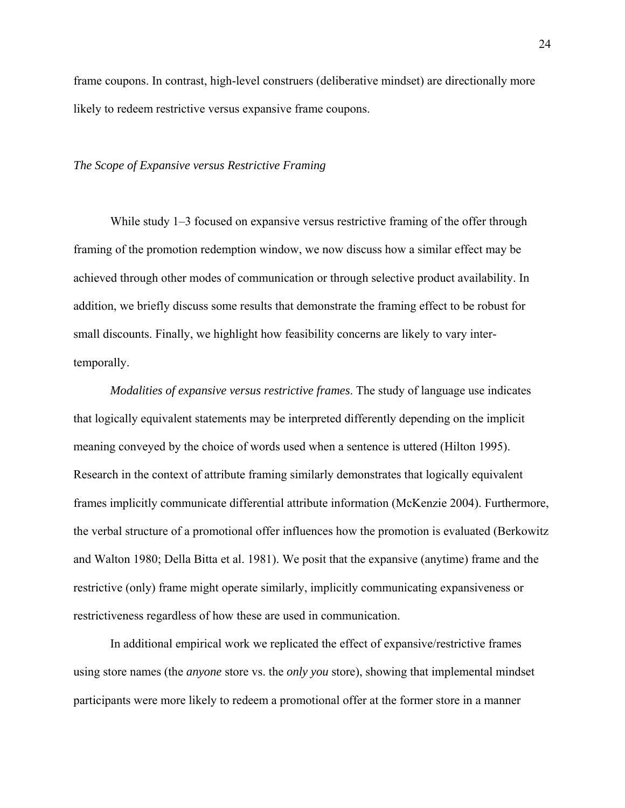frame coupons. In contrast, high-level construers (deliberative mindset) are directionally more likely to redeem restrictive versus expansive frame coupons.

#### *The Scope of Expansive versus Restrictive Framing*

While study 1–3 focused on expansive versus restrictive framing of the offer through framing of the promotion redemption window, we now discuss how a similar effect may be achieved through other modes of communication or through selective product availability. In addition, we briefly discuss some results that demonstrate the framing effect to be robust for small discounts. Finally, we highlight how feasibility concerns are likely to vary intertemporally.

*Modalities of expansive versus restrictive frames*. The study of language use indicates that logically equivalent statements may be interpreted differently depending on the implicit meaning conveyed by the choice of words used when a sentence is uttered (Hilton 1995). Research in the context of attribute framing similarly demonstrates that logically equivalent frames implicitly communicate differential attribute information (McKenzie 2004). Furthermore, the verbal structure of a promotional offer influences how the promotion is evaluated (Berkowitz and Walton 1980; Della Bitta et al. 1981). We posit that the expansive (anytime) frame and the restrictive (only) frame might operate similarly, implicitly communicating expansiveness or restrictiveness regardless of how these are used in communication.

In additional empirical work we replicated the effect of expansive/restrictive frames using store names (the *anyone* store vs. the *only you* store), showing that implemental mindset participants were more likely to redeem a promotional offer at the former store in a manner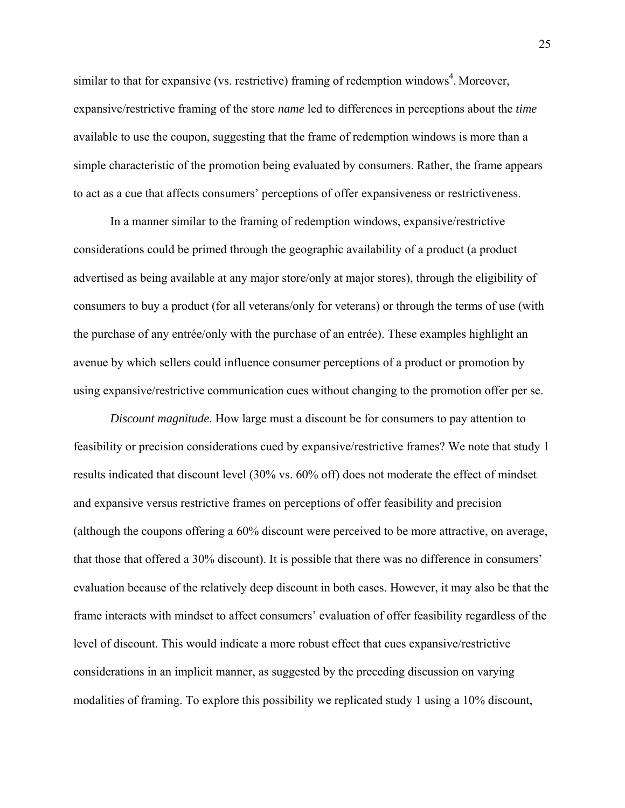similar to that for expansive (vs. restrictive) framing of redemption windows<sup>4</sup>. Moreover, expansive/restrictive framing of the store *name* led to differences in perceptions about the *time* available to use the coupon, suggesting that the frame of redemption windows is more than a simple characteristic of the promotion being evaluated by consumers. Rather, the frame appears to act as a cue that affects consumers' perceptions of offer expansiveness or restrictiveness.

In a manner similar to the framing of redemption windows, expansive/restrictive considerations could be primed through the geographic availability of a product (a product advertised as being available at any major store/only at major stores), through the eligibility of consumers to buy a product (for all veterans/only for veterans) or through the terms of use (with the purchase of any entrée/only with the purchase of an entrée). These examples highlight an avenue by which sellers could influence consumer perceptions of a product or promotion by using expansive/restrictive communication cues without changing to the promotion offer per se.

*Discount magnitude*. How large must a discount be for consumers to pay attention to feasibility or precision considerations cued by expansive/restrictive frames? We note that study 1 results indicated that discount level (30% vs. 60% off) does not moderate the effect of mindset and expansive versus restrictive frames on perceptions of offer feasibility and precision (although the coupons offering a 60% discount were perceived to be more attractive, on average, that those that offered a 30% discount). It is possible that there was no difference in consumers' evaluation because of the relatively deep discount in both cases. However, it may also be that the frame interacts with mindset to affect consumers' evaluation of offer feasibility regardless of the level of discount. This would indicate a more robust effect that cues expansive/restrictive considerations in an implicit manner, as suggested by the preceding discussion on varying modalities of framing. To explore this possibility we replicated study 1 using a 10% discount,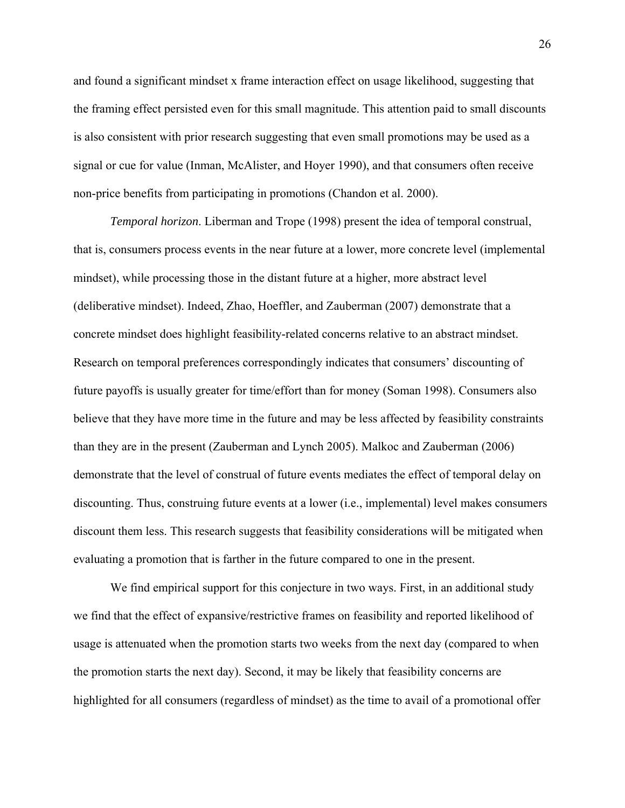and found a significant mindset x frame interaction effect on usage likelihood, suggesting that the framing effect persisted even for this small magnitude. This attention paid to small discounts is also consistent with prior research suggesting that even small promotions may be used as a signal or cue for value (Inman, McAlister, and Hoyer 1990), and that consumers often receive non-price benefits from participating in promotions (Chandon et al. 2000).

*Temporal horizon*. Liberman and Trope (1998) present the idea of temporal construal, that is, consumers process events in the near future at a lower, more concrete level (implemental mindset), while processing those in the distant future at a higher, more abstract level (deliberative mindset). Indeed, Zhao, Hoeffler, and Zauberman (2007) demonstrate that a concrete mindset does highlight feasibility-related concerns relative to an abstract mindset. Research on temporal preferences correspondingly indicates that consumers' discounting of future payoffs is usually greater for time/effort than for money (Soman 1998). Consumers also believe that they have more time in the future and may be less affected by feasibility constraints than they are in the present (Zauberman and Lynch 2005). Malkoc and Zauberman (2006) demonstrate that the level of construal of future events mediates the effect of temporal delay on discounting. Thus, construing future events at a lower (i.e., implemental) level makes consumers discount them less. This research suggests that feasibility considerations will be mitigated when evaluating a promotion that is farther in the future compared to one in the present.

We find empirical support for this conjecture in two ways. First, in an additional study we find that the effect of expansive/restrictive frames on feasibility and reported likelihood of usage is attenuated when the promotion starts two weeks from the next day (compared to when the promotion starts the next day). Second, it may be likely that feasibility concerns are highlighted for all consumers (regardless of mindset) as the time to avail of a promotional offer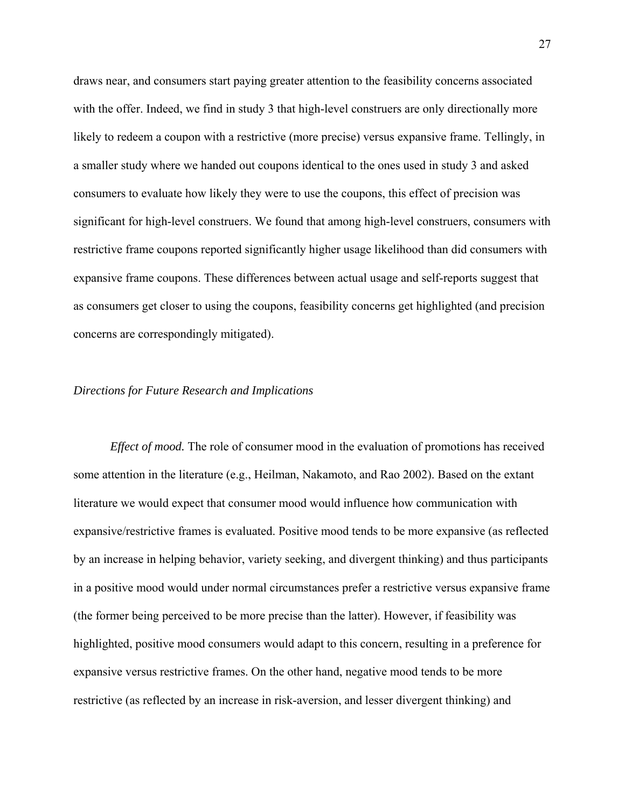draws near, and consumers start paying greater attention to the feasibility concerns associated with the offer. Indeed, we find in study 3 that high-level construers are only directionally more likely to redeem a coupon with a restrictive (more precise) versus expansive frame. Tellingly, in a smaller study where we handed out coupons identical to the ones used in study 3 and asked consumers to evaluate how likely they were to use the coupons, this effect of precision was significant for high-level construers. We found that among high-level construers, consumers with restrictive frame coupons reported significantly higher usage likelihood than did consumers with expansive frame coupons. These differences between actual usage and self-reports suggest that as consumers get closer to using the coupons, feasibility concerns get highlighted (and precision concerns are correspondingly mitigated).

#### *Directions for Future Research and Implications*

*Effect of mood.* The role of consumer mood in the evaluation of promotions has received some attention in the literature (e.g., Heilman, Nakamoto, and Rao 2002). Based on the extant literature we would expect that consumer mood would influence how communication with expansive/restrictive frames is evaluated. Positive mood tends to be more expansive (as reflected by an increase in helping behavior, variety seeking, and divergent thinking) and thus participants in a positive mood would under normal circumstances prefer a restrictive versus expansive frame (the former being perceived to be more precise than the latter). However, if feasibility was highlighted, positive mood consumers would adapt to this concern, resulting in a preference for expansive versus restrictive frames. On the other hand, negative mood tends to be more restrictive (as reflected by an increase in risk-aversion, and lesser divergent thinking) and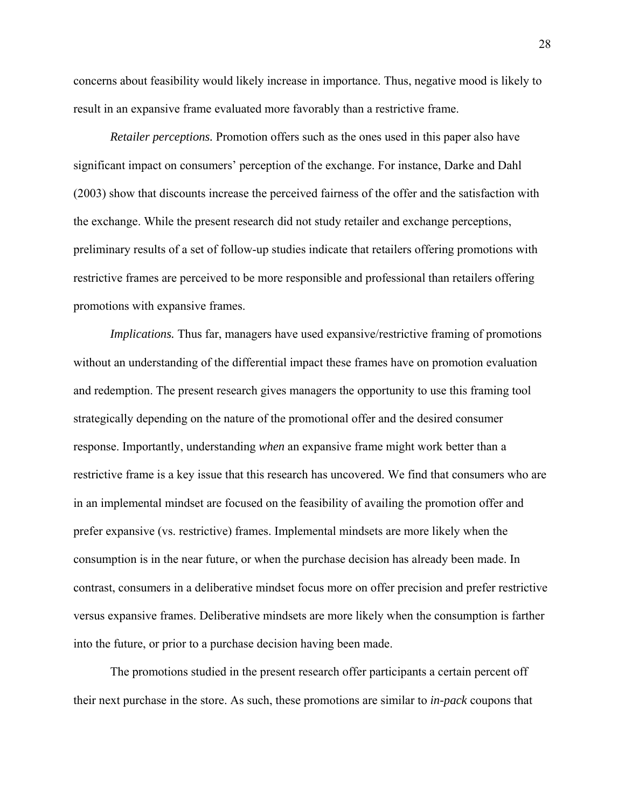concerns about feasibility would likely increase in importance. Thus, negative mood is likely to result in an expansive frame evaluated more favorably than a restrictive frame.

*Retailer perceptions.* Promotion offers such as the ones used in this paper also have significant impact on consumers' perception of the exchange. For instance, Darke and Dahl (2003) show that discounts increase the perceived fairness of the offer and the satisfaction with the exchange. While the present research did not study retailer and exchange perceptions, preliminary results of a set of follow-up studies indicate that retailers offering promotions with restrictive frames are perceived to be more responsible and professional than retailers offering promotions with expansive frames.

*Implications.* Thus far, managers have used expansive/restrictive framing of promotions without an understanding of the differential impact these frames have on promotion evaluation and redemption. The present research gives managers the opportunity to use this framing tool strategically depending on the nature of the promotional offer and the desired consumer response. Importantly, understanding *when* an expansive frame might work better than a restrictive frame is a key issue that this research has uncovered. We find that consumers who are in an implemental mindset are focused on the feasibility of availing the promotion offer and prefer expansive (vs. restrictive) frames. Implemental mindsets are more likely when the consumption is in the near future, or when the purchase decision has already been made. In contrast, consumers in a deliberative mindset focus more on offer precision and prefer restrictive versus expansive frames. Deliberative mindsets are more likely when the consumption is farther into the future, or prior to a purchase decision having been made.

The promotions studied in the present research offer participants a certain percent off their next purchase in the store. As such, these promotions are similar to *in-pack* coupons that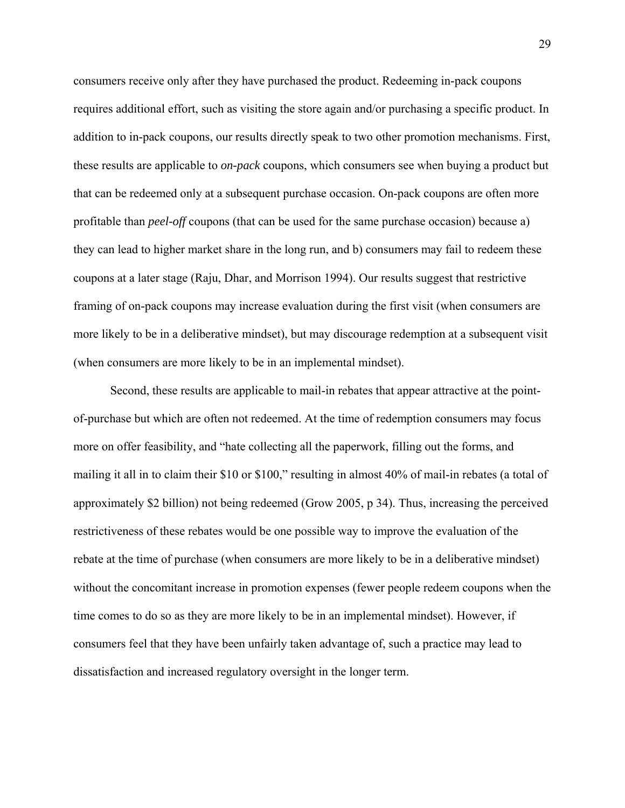consumers receive only after they have purchased the product. Redeeming in-pack coupons requires additional effort, such as visiting the store again and/or purchasing a specific product. In addition to in-pack coupons, our results directly speak to two other promotion mechanisms. First, these results are applicable to *on-pack* coupons, which consumers see when buying a product but that can be redeemed only at a subsequent purchase occasion. On-pack coupons are often more profitable than *peel-off* coupons (that can be used for the same purchase occasion) because a) they can lead to higher market share in the long run, and b) consumers may fail to redeem these coupons at a later stage (Raju, Dhar, and Morrison 1994). Our results suggest that restrictive framing of on-pack coupons may increase evaluation during the first visit (when consumers are more likely to be in a deliberative mindset), but may discourage redemption at a subsequent visit (when consumers are more likely to be in an implemental mindset).

Second, these results are applicable to mail-in rebates that appear attractive at the pointof-purchase but which are often not redeemed. At the time of redemption consumers may focus more on offer feasibility, and "hate collecting all the paperwork, filling out the forms, and mailing it all in to claim their \$10 or \$100," resulting in almost 40% of mail-in rebates (a total of approximately \$2 billion) not being redeemed (Grow 2005, p 34). Thus, increasing the perceived restrictiveness of these rebates would be one possible way to improve the evaluation of the rebate at the time of purchase (when consumers are more likely to be in a deliberative mindset) without the concomitant increase in promotion expenses (fewer people redeem coupons when the time comes to do so as they are more likely to be in an implemental mindset). However, if consumers feel that they have been unfairly taken advantage of, such a practice may lead to dissatisfaction and increased regulatory oversight in the longer term.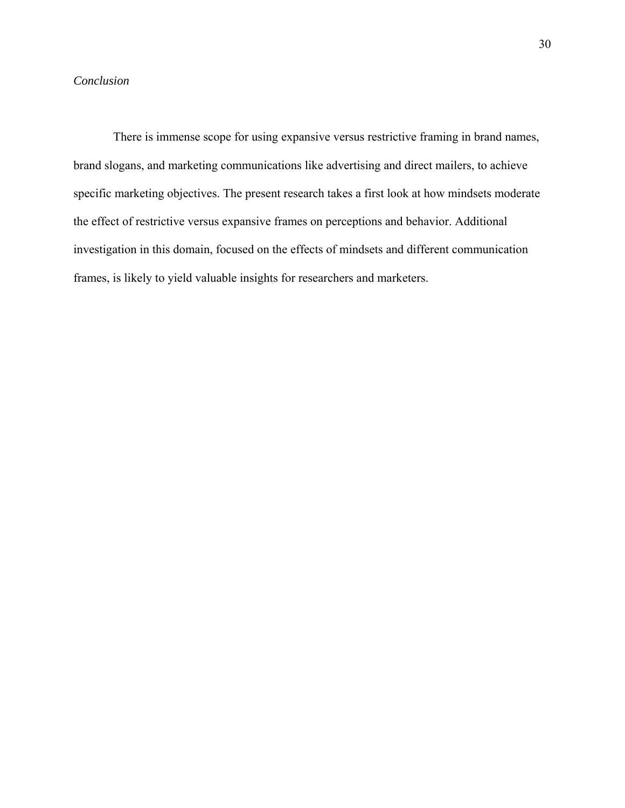### *Conclusion*

 There is immense scope for using expansive versus restrictive framing in brand names, brand slogans, and marketing communications like advertising and direct mailers, to achieve specific marketing objectives. The present research takes a first look at how mindsets moderate the effect of restrictive versus expansive frames on perceptions and behavior. Additional investigation in this domain, focused on the effects of mindsets and different communication frames, is likely to yield valuable insights for researchers and marketers.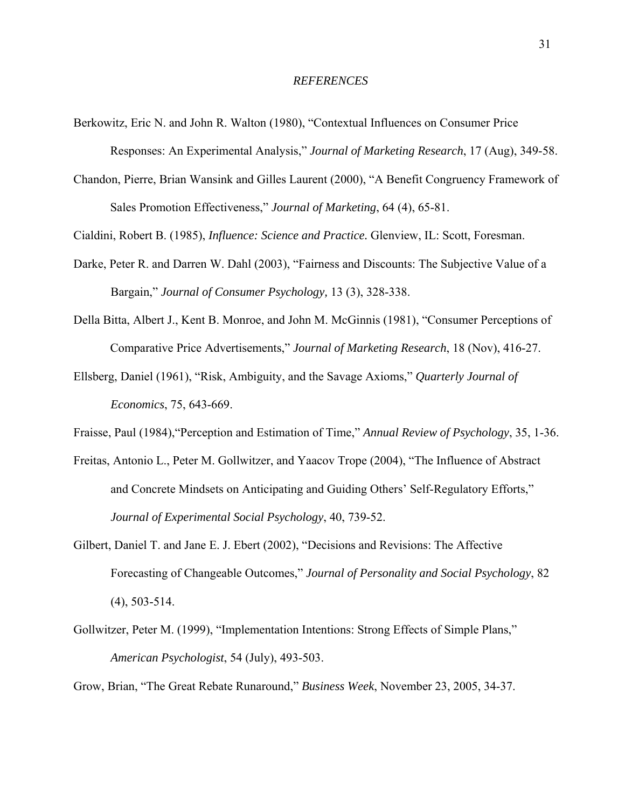#### *REFERENCES*

- Berkowitz, Eric N. and John R. Walton (1980), "Contextual Influences on Consumer Price Responses: An Experimental Analysis," *Journal of Marketing Research*, 17 (Aug), 349-58.
- Chandon, Pierre, Brian Wansink and Gilles Laurent (2000), "A Benefit Congruency Framework of Sales Promotion Effectiveness," *Journal of Marketing*, 64 (4), 65-81.

Cialdini, Robert B. (1985), *Influence: Science and Practice.* Glenview, IL: Scott, Foresman.

- Darke, Peter R. and Darren W. Dahl (2003), "Fairness and Discounts: The Subjective Value of a Bargain," *Journal of Consumer Psychology,* 13 (3), 328-338.
- Della Bitta, Albert J., Kent B. Monroe, and John M. McGinnis (1981), "Consumer Perceptions of Comparative Price Advertisements," *Journal of Marketing Research*, 18 (Nov), 416-27.
- Ellsberg, Daniel (1961), "Risk, Ambiguity, and the Savage Axioms," *Quarterly Journal of Economics*, 75, 643-669.
- Fraisse, Paul (1984),"Perception and Estimation of Time," *Annual Review of Psychology*, 35, 1-36.
- Freitas, Antonio L., Peter M. Gollwitzer, and Yaacov Trope (2004), "The Influence of Abstract and Concrete Mindsets on Anticipating and Guiding Others' Self-Regulatory Efforts," *Journal of Experimental Social Psychology*, 40, 739-52.
- Gilbert, Daniel T. and Jane E. J. Ebert (2002), "Decisions and Revisions: The Affective Forecasting of Changeable Outcomes," *Journal of Personality and Social Psychology*, 82 (4), 503-514.
- Gollwitzer, Peter M. (1999), "Implementation Intentions: Strong Effects of Simple Plans," *American Psychologist*, 54 (July), 493-503.

Grow, Brian, "The Great Rebate Runaround," *Business Week*, November 23, 2005, 34-37.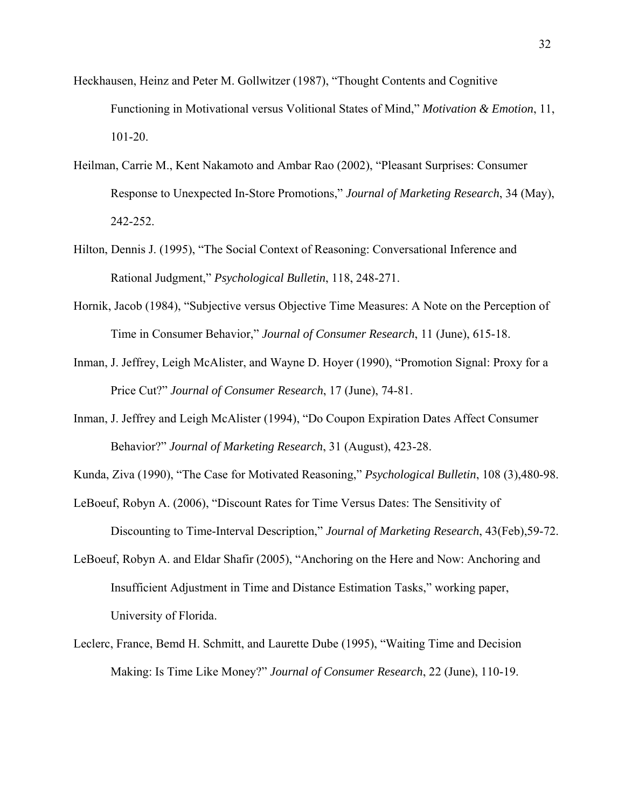- Heckhausen, Heinz and Peter M. Gollwitzer (1987), "Thought Contents and Cognitive Functioning in Motivational versus Volitional States of Mind," *Motivation & Emotion*, 11, 101-20.
- Heilman, Carrie M., Kent Nakamoto and Ambar Rao (2002), "Pleasant Surprises: Consumer Response to Unexpected In-Store Promotions," *Journal of Marketing Research*, 34 (May), 242-252.
- Hilton, Dennis J. (1995), "The Social Context of Reasoning: Conversational Inference and Rational Judgment," *Psychological Bulletin*, 118, 248-271.
- Hornik, Jacob (1984), "Subjective versus Objective Time Measures: A Note on the Perception of Time in Consumer Behavior," *Journal of Consumer Research*, 11 (June), 615-18.
- Inman, J. Jeffrey, Leigh McAlister, and Wayne D. Hoyer (1990), "Promotion Signal: Proxy for a Price Cut?" *Journal of Consumer Research*, 17 (June), 74-81.
- Inman, J. Jeffrey and Leigh McAlister (1994), "Do Coupon Expiration Dates Affect Consumer Behavior?" *Journal of Marketing Research*, 31 (August), 423-28.
- Kunda, Ziva (1990), "The Case for Motivated Reasoning," *Psychological Bulletin*, 108 (3),480-98.
- LeBoeuf, Robyn A. (2006), "Discount Rates for Time Versus Dates: The Sensitivity of Discounting to Time-Interval Description," *Journal of Marketing Research*, 43(Feb),59-72.
- LeBoeuf, Robyn A. and Eldar Shafir (2005), "Anchoring on the Here and Now: Anchoring and Insufficient Adjustment in Time and Distance Estimation Tasks," working paper, University of Florida.
- Leclerc, France, Bemd H. Schmitt, and Laurette Dube (1995), "Waiting Time and Decision Making: Is Time Like Money?" *Journal of Consumer Research*, 22 (June), 110-19.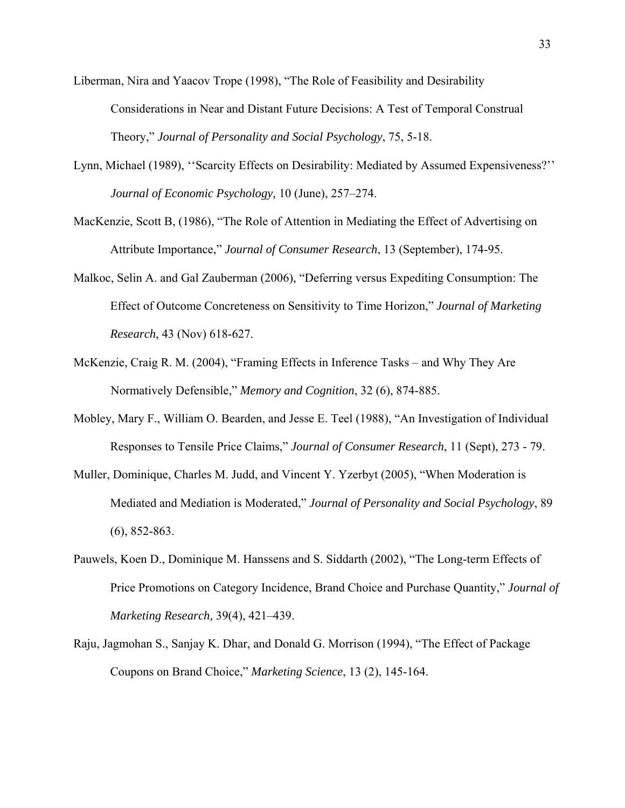- Liberman, Nira and Yaacov Trope (1998), "The Role of Feasibility and Desirability Considerations in Near and Distant Future Decisions: A Test of Temporal Construal Theory," *Journal of Personality and Social Psychology*, 75, 5-18.
- Lynn, Michael (1989), ''Scarcity Effects on Desirability: Mediated by Assumed Expensiveness?'' *Journal of Economic Psychology,* 10 (June), 257–274.
- MacKenzie, Scott B, (1986), "The Role of Attention in Mediating the Effect of Advertising on Attribute Importance," *Journal of Consumer Research*, 13 (September), 174-95.
- Malkoc, Selin A. and Gal Zauberman (2006), "Deferring versus Expediting Consumption: The Effect of Outcome Concreteness on Sensitivity to Time Horizon," *Journal of Marketing Research*, 43 (Nov) 618-627.
- McKenzie, Craig R. M. (2004), "Framing Effects in Inference Tasks and Why They Are Normatively Defensible," *Memory and Cognition*, 32 (6), 874-885.
- Mobley, Mary F., William O. Bearden, and Jesse E. Teel (1988), "An Investigation of Individual Responses to Tensile Price Claims," *Journal of Consumer Research*, 11 (Sept), 273 - 79.
- Muller, Dominique, Charles M. Judd, and Vincent Y. Yzerbyt (2005), "When Moderation is Mediated and Mediation is Moderated," *Journal of Personality and Social Psychology*, 89 (6), 852-863.
- Pauwels, Koen D., Dominique M. Hanssens and S. Siddarth (2002), "The Long-term Effects of Price Promotions on Category Incidence, Brand Choice and Purchase Quantity," *Journal of Marketing Research,* 39(4), 421–439.
- Raju, Jagmohan S., Sanjay K. Dhar, and Donald G. Morrison (1994), "The Effect of Package Coupons on Brand Choice," *Marketing Science*, 13 (2), 145-164.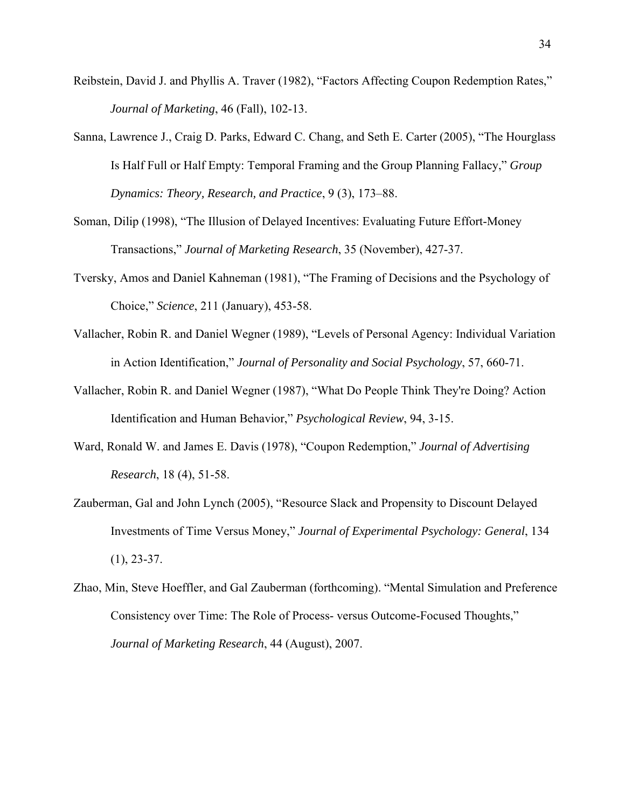- Reibstein, David J. and Phyllis A. Traver (1982), "Factors Affecting Coupon Redemption Rates," *Journal of Marketing*, 46 (Fall), 102-13.
- Sanna, Lawrence J., Craig D. Parks, Edward C. Chang, and Seth E. Carter (2005), "The Hourglass Is Half Full or Half Empty: Temporal Framing and the Group Planning Fallacy," *Group Dynamics: Theory, Research, and Practice*, 9 (3), 173–88.
- Soman, Dilip (1998), "The Illusion of Delayed Incentives: Evaluating Future Effort-Money Transactions," *Journal of Marketing Research*, 35 (November), 427-37.
- Tversky, Amos and Daniel Kahneman (1981), "The Framing of Decisions and the Psychology of Choice," *Science*, 211 (January), 453-58.
- Vallacher, Robin R. and Daniel Wegner (1989), "Levels of Personal Agency: Individual Variation in Action Identification," *Journal of Personality and Social Psychology*, 57, 660-71.
- Vallacher, Robin R. and Daniel Wegner (1987), "What Do People Think They're Doing? Action Identification and Human Behavior," *Psychological Review*, 94, 3-15.
- Ward, Ronald W. and James E. Davis (1978), "Coupon Redemption," *Journal of Advertising Research*, 18 (4), 51-58.
- Zauberman, Gal and John Lynch (2005), "Resource Slack and Propensity to Discount Delayed Investments of Time Versus Money," *Journal of Experimental Psychology: General*, 134  $(1), 23-37.$
- Zhao, Min, Steve Hoeffler, and Gal Zauberman (forthcoming). "Mental Simulation and Preference Consistency over Time: The Role of Process- versus Outcome-Focused Thoughts," *Journal of Marketing Research*, 44 (August), 2007.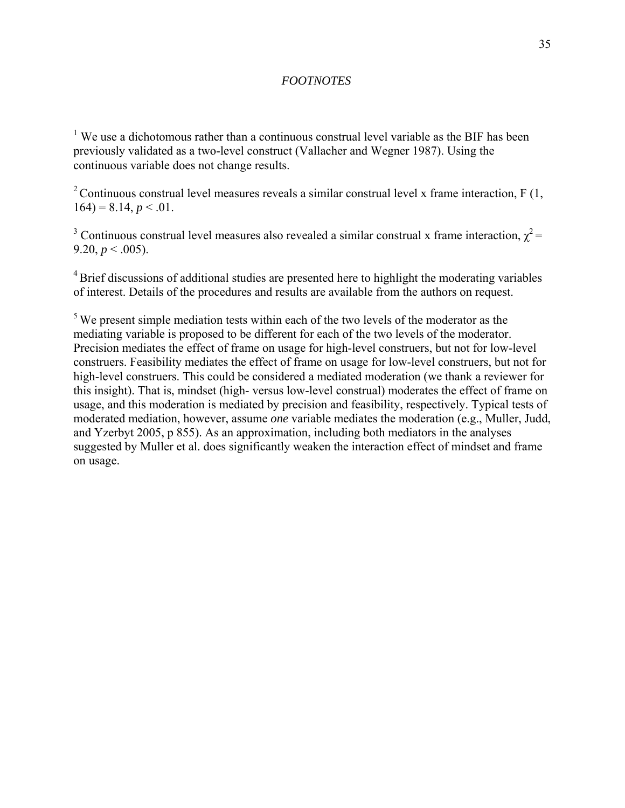### *FOOTNOTES*

<sup>1</sup> We use a dichotomous rather than a continuous construal level variable as the BIF has been previously validated as a two-level construct (Vallacher and Wegner 1987). Using the continuous variable does not change results.

<sup>2</sup> Continuous construal level measures reveals a similar construal level x frame interaction, F  $(1, 1)$  $164$ ) = 8.14,  $p < 0.01$ .

<sup>3</sup> Continuous construal level measures also revealed a similar construal x frame interaction,  $\chi^2$  = 9.20,  $p < .005$ ).

<sup>4</sup> Brief discussions of additional studies are presented here to highlight the moderating variables of interest. Details of the procedures and results are available from the authors on request.

 $5$  We present simple mediation tests within each of the two levels of the moderator as the mediating variable is proposed to be different for each of the two levels of the moderator. Precision mediates the effect of frame on usage for high-level construers, but not for low-level construers. Feasibility mediates the effect of frame on usage for low-level construers, but not for high-level construers. This could be considered a mediated moderation (we thank a reviewer for this insight). That is, mindset (high- versus low-level construal) moderates the effect of frame on usage, and this moderation is mediated by precision and feasibility, respectively. Typical tests of moderated mediation, however, assume *one* variable mediates the moderation (e.g., Muller, Judd, and Yzerbyt 2005, p 855). As an approximation, including both mediators in the analyses suggested by Muller et al. does significantly weaken the interaction effect of mindset and frame on usage.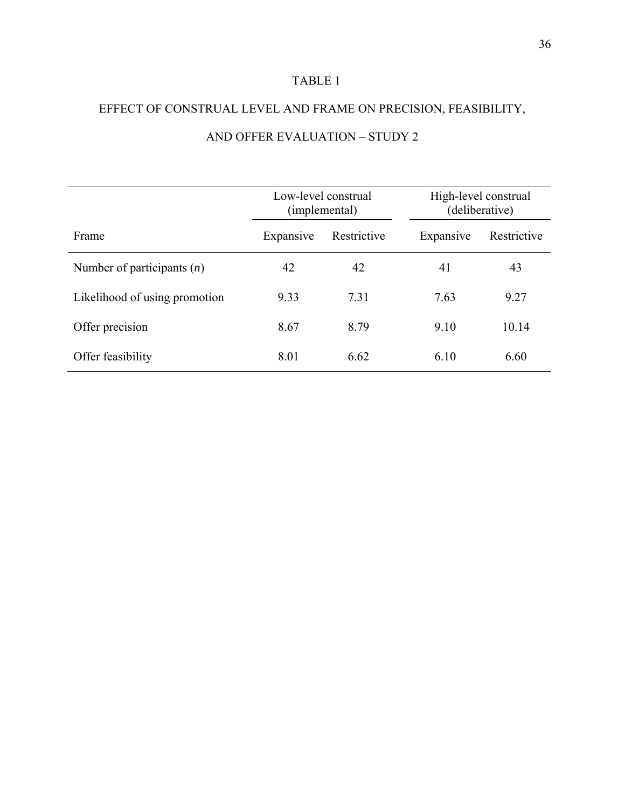# TABLE 1

# EFFECT OF CONSTRUAL LEVEL AND FRAME ON PRECISION, FEASIBILITY, AND OFFER EVALUATION – STUDY 2

|                               | Low-level construal<br>(implemental) |             | High-level construal<br>(deliberative) |             |
|-------------------------------|--------------------------------------|-------------|----------------------------------------|-------------|
| Frame                         | Expansive                            | Restrictive | Expansive                              | Restrictive |
| Number of participants $(n)$  | 42                                   | 42          | 41                                     | 43          |
| Likelihood of using promotion | 9.33                                 | 7.31        | 7.63                                   | 9.27        |
| Offer precision               | 8.67                                 | 8.79        | 9.10                                   | 10.14       |
| Offer feasibility             | 8.01                                 | 6.62        | 6.10                                   | 6.60        |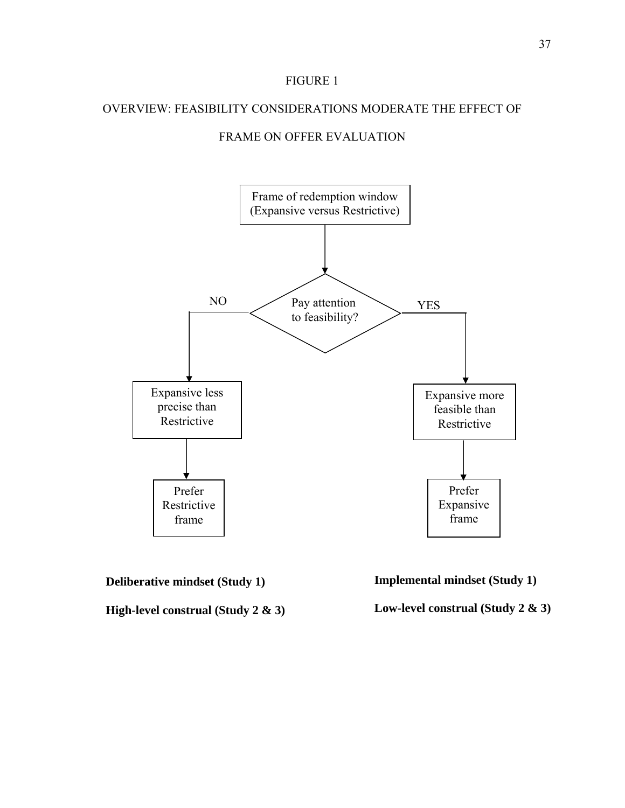#### FIGURE 1

### OVERVIEW: FEASIBILITY CONSIDERATIONS MODERATE THE EFFECT OF

## FRAME ON OFFER EVALUATION



**Deliberative mindset (Study 1)** 

**High-level construal (Study 2 & 3)** 



**Low-level construal (Study 2 & 3)**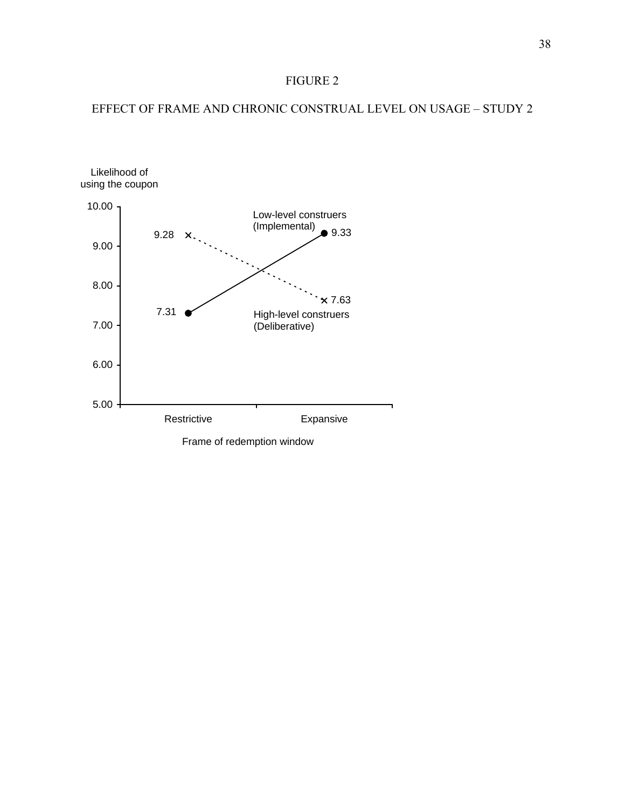## FIGURE 2

## EFFECT OF FRAME AND CHRONIC CONSTRUAL LEVEL ON USAGE – STUDY 2

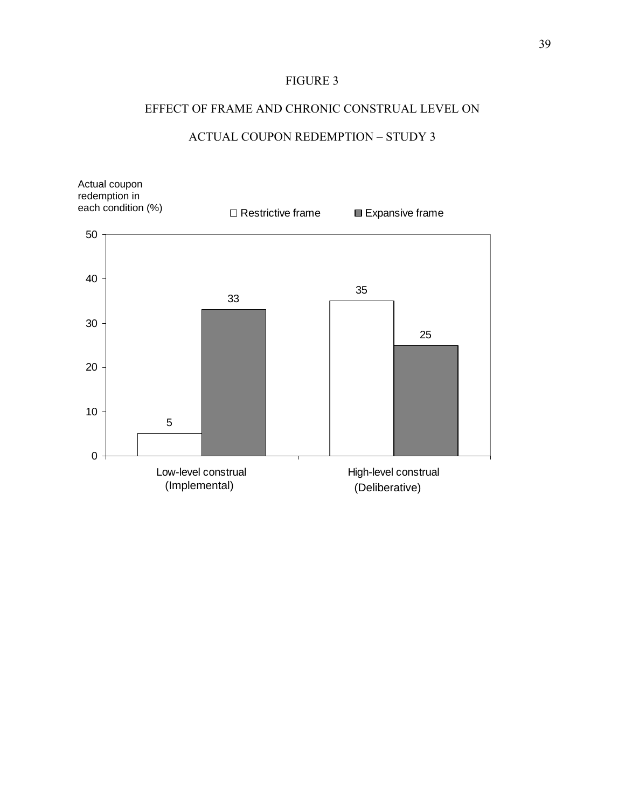## FIGURE 3

## EFFECT OF FRAME AND CHRONIC CONSTRUAL LEVEL ON

## ACTUAL COUPON REDEMPTION – STUDY 3